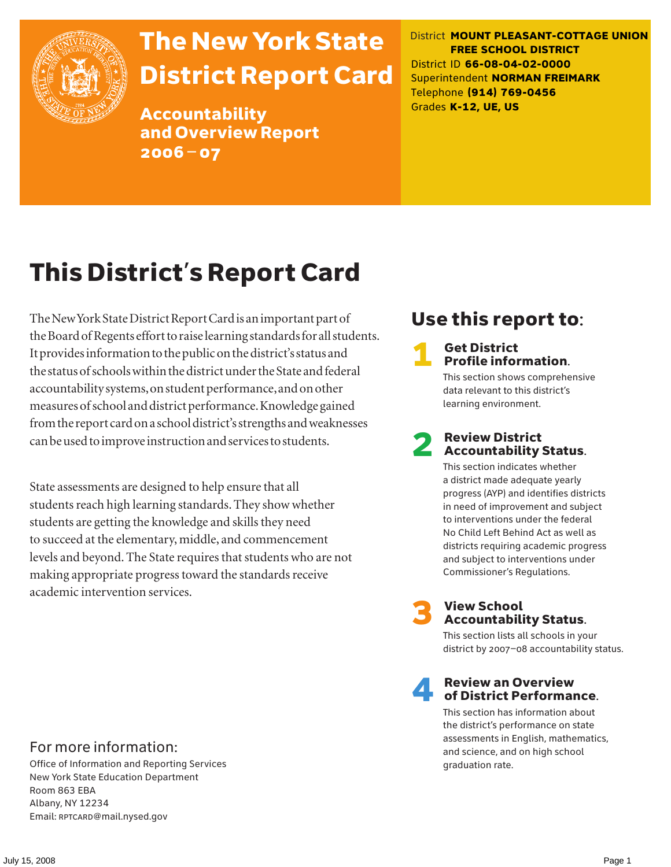

# The New York State District Report Card

Accountability and Overview Report 2006–07

District **MOUNT PLEASANT-COTTAGE UNION FREE SCHOOL DISTRICT** District ID **66-08-04-02-0000** Superintendent **NORMAN FREIMARK** Telephone **(914) 769-0456** Grades **K-12, UE, US**

# This District's Report Card

The New York State District Report Card is an important part of the Board of Regents effort to raise learning standards for all students. It provides information to the public on the district's status and the status of schools within the district under the State and federal accountability systems, on student performance, and on other measures of school and district performance. Knowledge gained from the report card on a school district's strengths and weaknesses can be used to improve instruction and services to students.

State assessments are designed to help ensure that all students reach high learning standards. They show whether students are getting the knowledge and skills they need to succeed at the elementary, middle, and commencement levels and beyond. The State requires that students who are not making appropriate progress toward the standards receive academic intervention services.

# Use this report to:

### **Get District** Profile information.

This section shows comprehensive data relevant to this district's learning environment.

### **Review District** Accountability Status.

This section indicates whether a district made adequate yearly progress (AYP) and identifies districts in need of improvement and subject to interventions under the federal No Child Left Behind Act as well as districts requiring academic progress and subject to interventions under Commissioner's Regulations.



# **3** View School<br>Accountability Status.

This section lists all schools in your district by 2007–08 accountability status.

### **Review an Overview** of District Performance.

This section has information about the district's performance on state assessments in English, mathematics, and science, and on high school graduation rate.

### For more information:

Office of Information and Reporting Services New York State Education Department Room 863 EBA Albany, NY 12234 Email: RPTCARD@mail.nysed.gov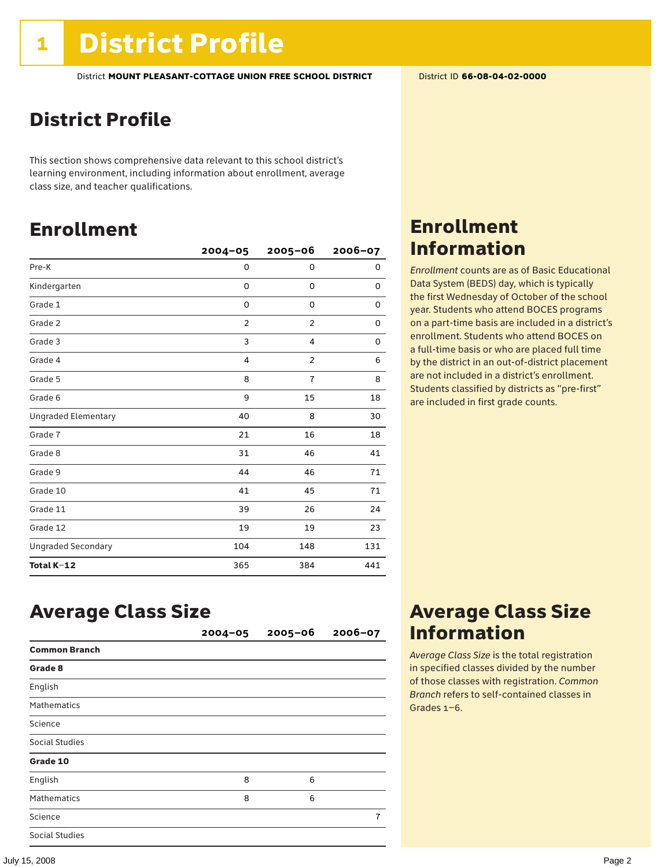### District Profile

This section shows comprehensive data relevant to this school district's learning environment, including information about enrollment, average class size, and teacher qualifications.

### Enrollment

|                            | $2004 - 05$    | $2005 - 06$    | $2006 - 07$ |
|----------------------------|----------------|----------------|-------------|
| Pre-K                      | 0              | 0              | 0           |
| Kindergarten               | 0              | 0              | 0           |
| Grade 1                    | 0              | 0              | 0           |
| Grade 2                    | $\overline{2}$ | $\overline{2}$ | 0           |
| Grade 3                    | 3              | 4              | 0           |
| Grade 4                    | $\overline{4}$ | $\overline{2}$ | 6           |
| Grade 5                    | 8              | $\overline{1}$ | 8           |
| Grade 6                    | 9              | 15             | 18          |
| <b>Ungraded Elementary</b> | 40             | 8              | 30          |
| Grade 7                    | 21             | 16             | 18          |
| Grade 8                    | 31             | 46             | 41          |
| Grade 9                    | 44             | 46             | 71          |
| Grade 10                   | 41             | 45             | 71          |
| Grade 11                   | 39             | 26             | 24          |
| Grade 12                   | 19             | 19             | 23          |
| <b>Ungraded Secondary</b>  | 104            | 148            | 131         |
| Total K-12                 | 365            | 384            | 441         |

### Enrollment Information

*Enrollment* counts are as of Basic Educational Data System (BEDS) day, which is typically the first Wednesday of October of the school year. Students who attend BOCES programs on a part-time basis are included in a district's enrollment. Students who attend BOCES on a full-time basis or who are placed full time by the district in an out-of-district placement are not included in a district's enrollment. Students classified by districts as "pre-first" are included in first grade counts.

### Average Class Size

|                      | $2004 - 05$ | $2005 - 06$ | $2006 - 07$ |
|----------------------|-------------|-------------|-------------|
| <b>Common Branch</b> |             |             |             |
| Grade 8              |             |             |             |
| English              |             |             |             |
| <b>Mathematics</b>   |             |             |             |
| Science              |             |             |             |
| Social Studies       |             |             |             |
| Grade 10             |             |             |             |
| English              | 8           | 6           |             |
| <b>Mathematics</b>   | 8           | 6           |             |
| Science              |             |             | 7           |
| Social Studies       |             |             |             |

### Average Class Size Information

*Average Class Size* is the total registration in specified classes divided by the number of those classes with registration. *Common Branch* refers to self-contained classes in Grades 1–6.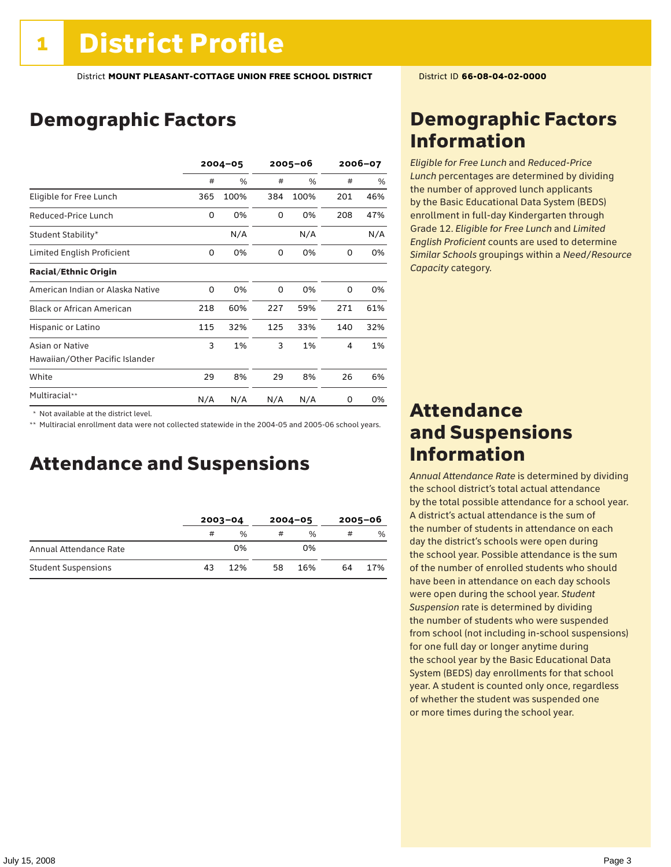# Demographic Factors

|                                  | $2004 - 05$ |      |     | 2005-06 |     | 2006-07 |  |
|----------------------------------|-------------|------|-----|---------|-----|---------|--|
|                                  | #           | %    | #   | %       | #   | %       |  |
| Eligible for Free Lunch          | 365         | 100% | 384 | 100%    | 201 | 46%     |  |
| Reduced-Price Lunch              | 0           | 0%   | 0   | 0%      | 208 | 47%     |  |
| Student Stability*               |             | N/A  |     | N/A     |     | N/A     |  |
| Limited English Proficient       | 0           | 0%   | 0   | 0%      | 0   | 0%      |  |
| <b>Racial/Ethnic Origin</b>      |             |      |     |         |     |         |  |
| American Indian or Alaska Native | 0           | 0%   | 0   | 0%      | 0   | 0%      |  |
| <b>Black or African American</b> | 218         | 60%  | 227 | 59%     | 271 | 61%     |  |
| Hispanic or Latino               | 115         | 32%  | 125 | 33%     | 140 | 32%     |  |
| Asian or Native                  | 3           | 1%   | 3   | 1%      | 4   | 1%      |  |
| Hawaiian/Other Pacific Islander  |             |      |     |         |     |         |  |
| White                            | 29          | 8%   | 29  | 8%      | 26  | 6%      |  |
| Multiracial**                    | N/A         | N/A  | N/A | N/A     | 0   | 0%      |  |

 \* Not available at the district level.

\*\* Multiracial enrollment data were not collected statewide in the 2004-05 and 2005-06 school years.

### Attendance and Suspensions

|                            | $2003 - 04$ |               | $2004 - 05$ |               | $2005 - 06$ |               |
|----------------------------|-------------|---------------|-------------|---------------|-------------|---------------|
|                            | #           | $\frac{0}{0}$ | #           | $\frac{0}{6}$ | #           | $\frac{0}{0}$ |
| Annual Attendance Rate     |             | 0%            |             | 0%            |             |               |
| <b>Student Suspensions</b> | 43          | 12%           | 58          | 16%           | 64          | 17%           |

### Demographic Factors Information

*Eligible for Free Lunch* and *Reduced*-*Price Lunch* percentages are determined by dividing the number of approved lunch applicants by the Basic Educational Data System (BEDS) enrollment in full-day Kindergarten through Grade 12. *Eligible for Free Lunch* and *Limited English Proficient* counts are used to determine *Similar Schools* groupings within a *Need*/*Resource Capacity* category.

### Attendance and Suspensions Information

*Annual Attendance Rate* is determined by dividing the school district's total actual attendance by the total possible attendance for a school year. A district's actual attendance is the sum of the number of students in attendance on each day the district's schools were open during the school year. Possible attendance is the sum of the number of enrolled students who should have been in attendance on each day schools were open during the school year. *Student Suspension* rate is determined by dividing the number of students who were suspended from school (not including in-school suspensions) for one full day or longer anytime during the school year by the Basic Educational Data System (BEDS) day enrollments for that school year. A student is counted only once, regardless of whether the student was suspended one or more times during the school year.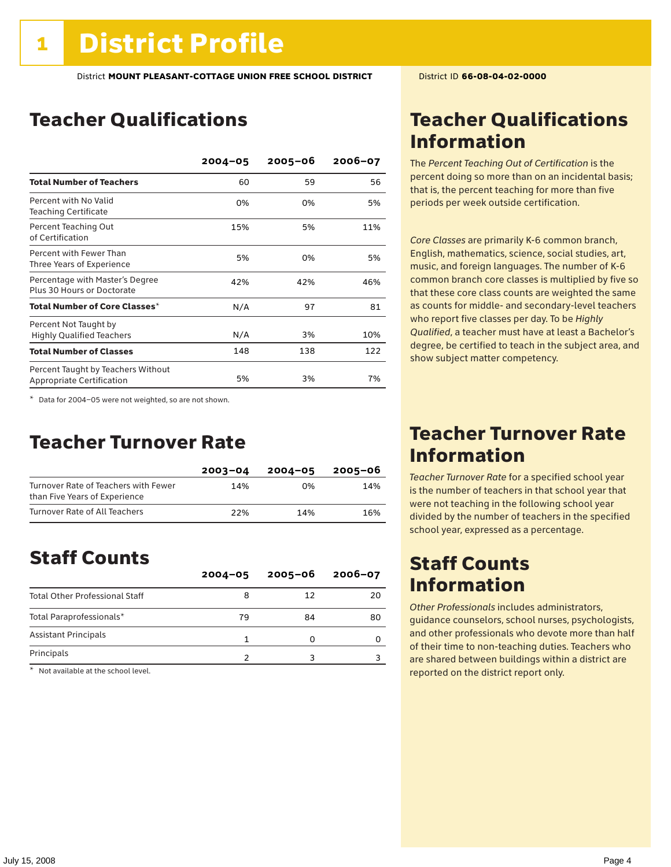# Teacher Qualifications

|                                                                 | $2004 - 05$ | $2005 - 06$ | $2006 - 07$ |
|-----------------------------------------------------------------|-------------|-------------|-------------|
| <b>Total Number of Teachers</b>                                 | 60          | 59          | 56          |
| Percent with No Valid<br><b>Teaching Certificate</b>            | 0%          | 0%          | 5%          |
| Percent Teaching Out<br>of Certification                        | 15%         | 5%          | 11%         |
| Percent with Fewer Than<br>Three Years of Experience            | 5%          | 0%          | 5%          |
| Percentage with Master's Degree<br>Plus 30 Hours or Doctorate   | 42%         | 42%         | 46%         |
| Total Number of Core Classes $^\star$                           | N/A         | 97          | 81          |
| Percent Not Taught by<br><b>Highly Qualified Teachers</b>       | N/A         | 3%          | 10%         |
| <b>Total Number of Classes</b>                                  | 148         | 138         | 122         |
| Percent Taught by Teachers Without<br>Appropriate Certification | 5%          | 3%          | 7%          |

\* Data for 2004–05 were not weighted, so are not shown.

### Teacher Turnover Rate

|                                                                       | $2003 - 04$ | $2004 - 05$ | 2005-06 |
|-----------------------------------------------------------------------|-------------|-------------|---------|
| Turnover Rate of Teachers with Fewer<br>than Five Years of Experience | 14%         | በ%          | 14%     |
| Turnover Rate of All Teachers                                         | 22%         | 14%         | 16%     |

### Staff Counts

|                                       | $2004 - 05$ | $2005 - 06$ | $2006 - 07$ |
|---------------------------------------|-------------|-------------|-------------|
| <b>Total Other Professional Staff</b> |             | 12          | 20          |
| Total Paraprofessionals*              | 79          | 84          | 80          |
| <b>Assistant Principals</b>           |             |             | O           |
| Principals                            |             |             |             |

\* Not available at the school level.

### Teacher Qualifications Information

The *Percent Teaching Out of Certification* is the percent doing so more than on an incidental basis; that is, the percent teaching for more than five periods per week outside certification.

*Core Classes* are primarily K-6 common branch, English, mathematics, science, social studies, art, music, and foreign languages. The number of K-6 common branch core classes is multiplied by five so that these core class counts are weighted the same as counts for middle- and secondary-level teachers who report five classes per day. To be *Highly Qualified*, a teacher must have at least a Bachelor's degree, be certified to teach in the subject area, and show subject matter competency.

### Teacher Turnover Rate Information

*Teacher Turnover Rate* for a specified school year is the number of teachers in that school year that were not teaching in the following school year divided by the number of teachers in the specified school year, expressed as a percentage.

### Staff Counts Information

*Other Professionals* includes administrators, guidance counselors, school nurses, psychologists, and other professionals who devote more than half of their time to non-teaching duties. Teachers who are shared between buildings within a district are reported on the district report only.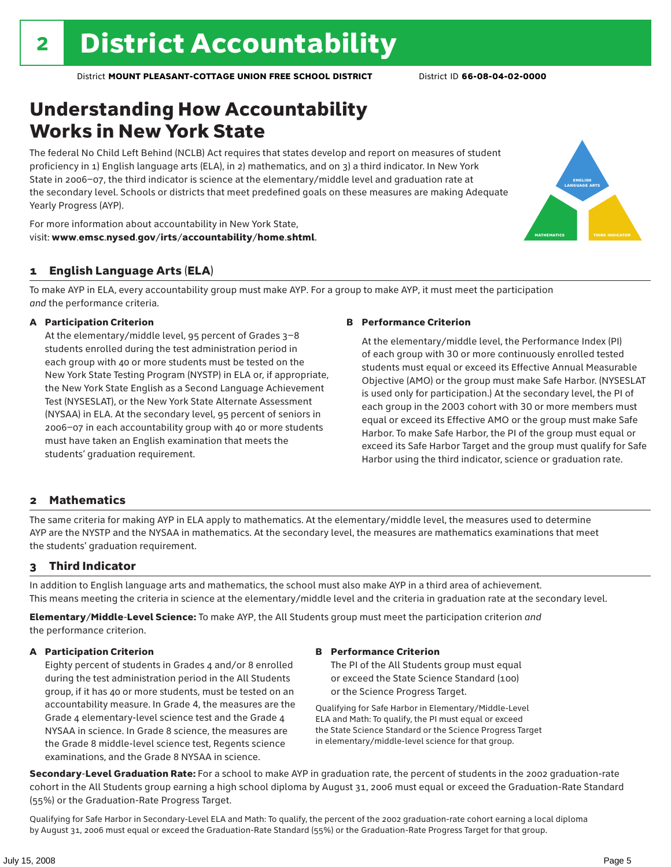# Understanding How Accountability Works in New York State

The federal No Child Left Behind (NCLB) Act requires that states develop and report on measures of student proficiency in 1) English language arts (ELA), in 2) mathematics, and on 3) a third indicator. In New York State in 2006–07, the third indicator is science at the elementary/middle level and graduation rate at the secondary level. Schools or districts that meet predefined goals on these measures are making Adequate Yearly Progress (AYP).



For more information about accountability in New York State, visit: www.emsc.nysed.gov/irts/accountability/home.shtml.

### 1 English Language Arts (ELA)

To make AYP in ELA, every accountability group must make AYP. For a group to make AYP, it must meet the participation *and* the performance criteria.

#### A Participation Criterion

At the elementary/middle level, 95 percent of Grades 3–8 students enrolled during the test administration period in each group with 40 or more students must be tested on the New York State Testing Program (NYSTP) in ELA or, if appropriate, the New York State English as a Second Language Achievement Test (NYSESLAT), or the New York State Alternate Assessment (NYSAA) in ELA. At the secondary level, 95 percent of seniors in 2006–07 in each accountability group with 40 or more students must have taken an English examination that meets the students' graduation requirement.

#### B Performance Criterion

At the elementary/middle level, the Performance Index (PI) of each group with 30 or more continuously enrolled tested students must equal or exceed its Effective Annual Measurable Objective (AMO) or the group must make Safe Harbor. (NYSESLAT is used only for participation.) At the secondary level, the PI of each group in the 2003 cohort with 30 or more members must equal or exceed its Effective AMO or the group must make Safe Harbor. To make Safe Harbor, the PI of the group must equal or exceed its Safe Harbor Target and the group must qualify for Safe Harbor using the third indicator, science or graduation rate.

### 2 Mathematics

The same criteria for making AYP in ELA apply to mathematics. At the elementary/middle level, the measures used to determine AYP are the NYSTP and the NYSAA in mathematics. At the secondary level, the measures are mathematics examinations that meet the students' graduation requirement.

### 3 Third Indicator

In addition to English language arts and mathematics, the school must also make AYP in a third area of achievement. This means meeting the criteria in science at the elementary/middle level and the criteria in graduation rate at the secondary level.

Elementary/Middle-Level Science: To make AYP, the All Students group must meet the participation criterion *and* the performance criterion.

### A Participation Criterion

Eighty percent of students in Grades 4 and/or 8 enrolled during the test administration period in the All Students group, if it has 40 or more students, must be tested on an accountability measure. In Grade 4, the measures are the Grade 4 elementary-level science test and the Grade 4 NYSAA in science. In Grade 8 science, the measures are the Grade 8 middle-level science test, Regents science examinations, and the Grade 8 NYSAA in science.

#### B Performance Criterion

The PI of the All Students group must equal or exceed the State Science Standard (100) or the Science Progress Target.

Qualifying for Safe Harbor in Elementary/Middle-Level ELA and Math: To qualify, the PI must equal or exceed the State Science Standard or the Science Progress Target in elementary/middle-level science for that group.

Secondary-Level Graduation Rate: For a school to make AYP in graduation rate, the percent of students in the 2002 graduation-rate cohort in the All Students group earning a high school diploma by August 31, 2006 must equal or exceed the Graduation-Rate Standard (55%) or the Graduation-Rate Progress Target.

Qualifying for Safe Harbor in Secondary-Level ELA and Math: To qualify, the percent of the 2002 graduation-rate cohort earning a local diploma by August 31, 2006 must equal or exceed the Graduation-Rate Standard (55%) or the Graduation-Rate Progress Target for that group.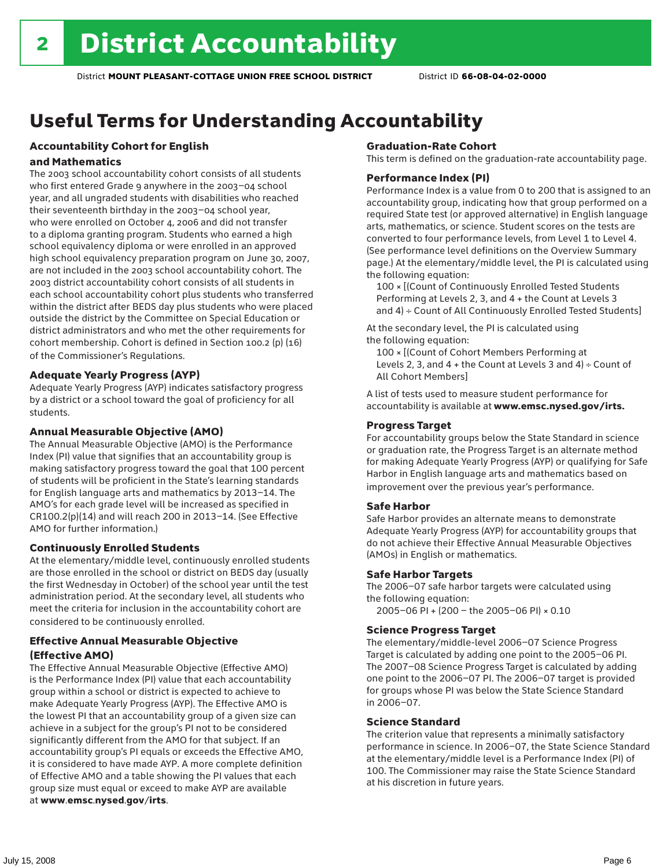# Useful Terms for Understanding Accountability

### Accountability Cohort for English

#### and Mathematics

The 2003 school accountability cohort consists of all students who first entered Grade 9 anywhere in the 2003–04 school year, and all ungraded students with disabilities who reached their seventeenth birthday in the 2003–04 school year, who were enrolled on October 4, 2006 and did not transfer to a diploma granting program. Students who earned a high school equivalency diploma or were enrolled in an approved high school equivalency preparation program on June 30, 2007, are not included in the 2003 school accountability cohort. The 2003 district accountability cohort consists of all students in each school accountability cohort plus students who transferred within the district after BEDS day plus students who were placed outside the district by the Committee on Special Education or district administrators and who met the other requirements for cohort membership. Cohort is defined in Section 100.2 (p) (16) of the Commissioner's Regulations.

### Adequate Yearly Progress (AYP)

Adequate Yearly Progress (AYP) indicates satisfactory progress by a district or a school toward the goal of proficiency for all students.

### Annual Measurable Objective (AMO)

The Annual Measurable Objective (AMO) is the Performance Index (PI) value that signifies that an accountability group is making satisfactory progress toward the goal that 100 percent of students will be proficient in the State's learning standards for English language arts and mathematics by 2013–14. The AMO's for each grade level will be increased as specified in CR100.2(p)(14) and will reach 200 in 2013–14. (See Effective AMO for further information.)

### Continuously Enrolled Students

At the elementary/middle level, continuously enrolled students are those enrolled in the school or district on BEDS day (usually the first Wednesday in October) of the school year until the test administration period. At the secondary level, all students who meet the criteria for inclusion in the accountability cohort are considered to be continuously enrolled.

### Effective Annual Measurable Objective (Effective AMO)

The Effective Annual Measurable Objective (Effective AMO) is the Performance Index (PI) value that each accountability group within a school or district is expected to achieve to make Adequate Yearly Progress (AYP). The Effective AMO is the lowest PI that an accountability group of a given size can achieve in a subject for the group's PI not to be considered significantly different from the AMO for that subject. If an accountability group's PI equals or exceeds the Effective AMO, it is considered to have made AYP. A more complete definition of Effective AMO and a table showing the PI values that each group size must equal or exceed to make AYP are available at www.emsc.nysed.gov/irts.

#### Graduation-Rate Cohort

This term is defined on the graduation-rate accountability page.

#### Performance Index (PI)

Performance Index is a value from 0 to 200 that is assigned to an accountability group, indicating how that group performed on a required State test (or approved alternative) in English language arts, mathematics, or science. Student scores on the tests are converted to four performance levels, from Level 1 to Level 4. (See performance level definitions on the Overview Summary page.) At the elementary/middle level, the PI is calculated using the following equation:

100 × [(Count of Continuously Enrolled Tested Students Performing at Levels 2, 3, and 4 + the Count at Levels 3 and 4) ÷ Count of All Continuously Enrolled Tested Students]

At the secondary level, the PI is calculated using the following equation:

100 × [(Count of Cohort Members Performing at Levels 2, 3, and  $4 +$  the Count at Levels 3 and  $4) \div$  Count of All Cohort Members]

A list of tests used to measure student performance for accountability is available at www.emsc.nysed.gov/irts.

### Progress Target

For accountability groups below the State Standard in science or graduation rate, the Progress Target is an alternate method for making Adequate Yearly Progress (AYP) or qualifying for Safe Harbor in English language arts and mathematics based on improvement over the previous year's performance.

### Safe Harbor

Safe Harbor provides an alternate means to demonstrate Adequate Yearly Progress (AYP) for accountability groups that do not achieve their Effective Annual Measurable Objectives (AMOs) in English or mathematics.

### Safe Harbor Targets

The 2006–07 safe harbor targets were calculated using the following equation:

2005–06 PI + (200 – the 2005–06 PI) × 0.10

#### Science Progress Target

The elementary/middle-level 2006–07 Science Progress Target is calculated by adding one point to the 2005–06 PI. The 2007–08 Science Progress Target is calculated by adding one point to the 2006–07 PI. The 2006–07 target is provided for groups whose PI was below the State Science Standard in 2006–07.

#### Science Standard

The criterion value that represents a minimally satisfactory performance in science. In 2006–07, the State Science Standard at the elementary/middle level is a Performance Index (PI) of 100. The Commissioner may raise the State Science Standard at his discretion in future years.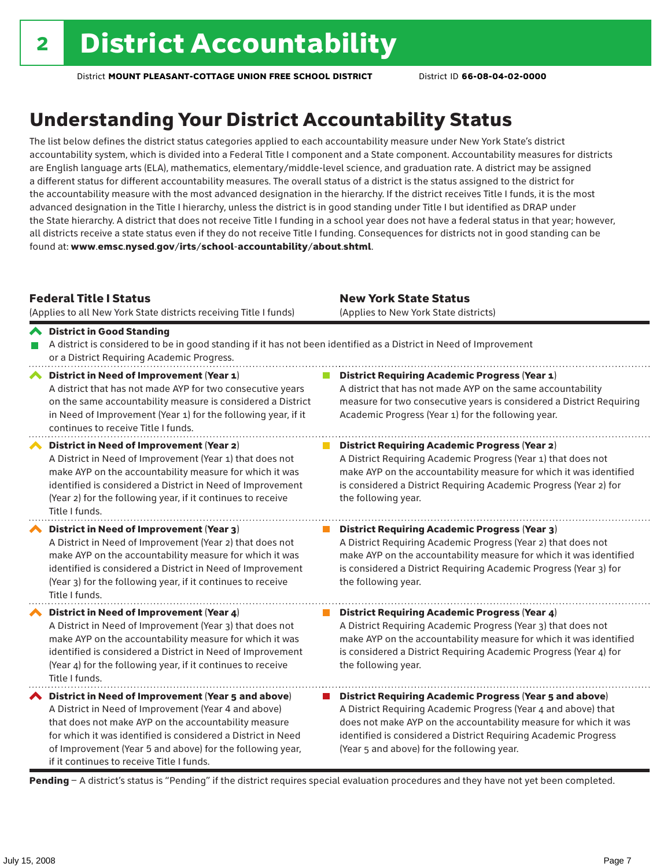# Understanding Your District Accountability Status

The list below defines the district status categories applied to each accountability measure under New York State's district accountability system, which is divided into a Federal Title I component and a State component. Accountability measures for districts are English language arts (ELA), mathematics, elementary/middle-level science, and graduation rate. A district may be assigned a different status for different accountability measures. The overall status of a district is the status assigned to the district for the accountability measure with the most advanced designation in the hierarchy. If the district receives Title I funds, it is the most advanced designation in the Title I hierarchy, unless the district is in good standing under Title I but identified as DRAP under the State hierarchy. A district that does not receive Title I funding in a school year does not have a federal status in that year; however, all districts receive a state status even if they do not receive Title I funding. Consequences for districts not in good standing can be found at: www.emsc.nysed.gov/irts/school-accountability/about.shtml.

### Federal Title I Status

(Applies to all New York State districts receiving Title I funds)

New York State Status (Applies to New York State districts)

#### District in Good Standing A district is considered to be in good standing if it has not been identified as a District in Need of Improvement or a District Requiring Academic Progress. **A** District in Need of Improvement (Year 1) **District Requiring Academic Progress (Year 1)** A district that has not made AYP for two consecutive years A district that has not made AYP on the same accountability on the same accountability measure is considered a District measure for two consecutive years is considered a District Requiring

in Need of Improvement (Year 1) for the following year, if it Academic Progress (Year 1) for the following year. continues to receive Title I funds. District in Need of Improvement (Year 2) **District Requiring Academic Progress (Year 2)** A District in Need of Improvement (Year 1) that does not A District Requiring Academic Progress (Year 1) that does not make AYP on the accountability measure for which it was make AYP on the accountability measure for which it was identified identified is considered a District in Need of Improvement is considered a District Requiring Academic Progress (Year 2) for (Year 2) for the following year, if it continues to receive the following year. Title I funds. District in Need of Improvement (Year 3)  $\mathcal{L}_{\mathcal{A}}$ District Requiring Academic Progress (Year 3) A District in Need of Improvement (Year 2) that does not A District Requiring Academic Progress (Year 2) that does not make AYP on the accountability measure for which it was make AYP on the accountability measure for which it was identified identified is considered a District in Need of Improvement is considered a District Requiring Academic Progress (Year 3) for (Year 3) for the following year, if it continues to receive the following year. Title I funds. ◆ District in Need of Improvement (Year 4) **District Requiring Academic Progress (Year 4)** A District in Need of Improvement (Year 3) that does not A District Requiring Academic Progress (Year 3) that does not make AYP on the accountability measure for which it was make AYP on the accountability measure for which it was identified identified is considered a District in Need of Improvement is considered a District Requiring Academic Progress (Year 4) for (Year 4) for the following year, if it continues to receive the following year. Title I funds.  $\blacktriangle$  District in Need of Improvement (Year 5 and above) ■ District Requiring Academic Progress (Year 5 and above) A District in Need of Improvement (Year 4 and above) A District Requiring Academic Progress (Year 4 and above) that that does not make AYP on the accountability measure does not make AYP on the accountability measure for which it was for which it was identified is considered a District in Need identified is considered a District Requiring Academic Progress of Improvement (Year 5 and above) for the following year, (Year 5 and above) for the following year. if it continues to receive Title I funds.

Pending - A district's status is "Pending" if the district requires special evaluation procedures and they have not yet been completed.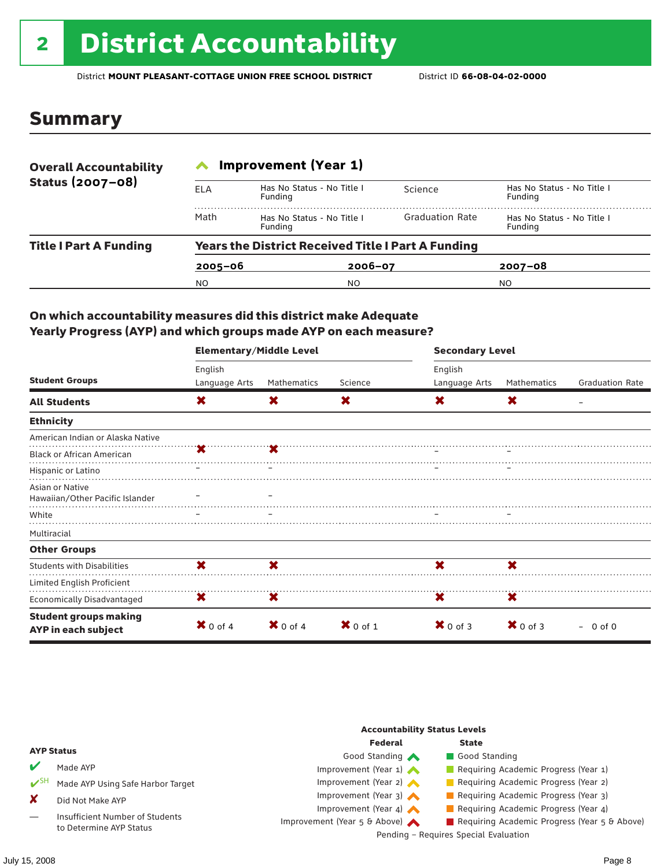# <sup>2</sup> District Accountability

District **MOUNT PLEASANT-COTTAGE UNION FREE SCHOOL DISTRICT** District ID **66-08-04-02-0000**

### Summary

| <b>Overall Accountability</b> | <b>Improvement (Year 1)</b> |                                                           |                        |                                       |  |  |  |  |
|-------------------------------|-----------------------------|-----------------------------------------------------------|------------------------|---------------------------------------|--|--|--|--|
| Status (2007-08)              | <b>ELA</b>                  | Has No Status - No Title I<br>Funding                     | Science                | Has No Status - No Title I<br>Funding |  |  |  |  |
|                               | Math                        | Has No Status - No Title I<br>Funding                     | <b>Graduation Rate</b> | Has No Status - No Title I<br>Funding |  |  |  |  |
| <b>Title I Part A Funding</b> |                             | <b>Years the District Received Title I Part A Funding</b> |                        |                                       |  |  |  |  |
|                               | $2005 - 06$                 | $2006 - 07$                                               |                        | $2007 - 08$                           |  |  |  |  |
|                               | N <sub>O</sub>              | NO                                                        |                        | NO.                                   |  |  |  |  |

### On which accountability measures did this district make Adequate Yearly Progress (AYP) and which groups made AYP on each measure?

|                                                     | <b>Elementary/Middle Level</b> |             |                     | <b>Secondary Level</b> |                     |                        |  |
|-----------------------------------------------------|--------------------------------|-------------|---------------------|------------------------|---------------------|------------------------|--|
|                                                     | English                        |             |                     | English                |                     |                        |  |
| <b>Student Groups</b>                               | Language Arts                  | Mathematics | Science             | Language Arts          | Mathematics         | <b>Graduation Rate</b> |  |
| <b>All Students</b>                                 | X                              | X.          | X.                  | X.                     | X                   |                        |  |
| <b>Ethnicity</b>                                    |                                |             |                     |                        |                     |                        |  |
| American Indian or Alaska Native                    |                                |             |                     |                        |                     |                        |  |
| <b>Black or African American</b>                    |                                |             |                     |                        |                     |                        |  |
| Hispanic or Latino                                  |                                |             |                     |                        |                     |                        |  |
| Asian or Native                                     |                                |             |                     |                        |                     |                        |  |
| Hawaiian/Other Pacific Islander                     |                                |             |                     |                        |                     |                        |  |
| White                                               |                                |             |                     |                        |                     |                        |  |
| Multiracial                                         |                                |             |                     |                        |                     |                        |  |
| <b>Other Groups</b>                                 |                                |             |                     |                        |                     |                        |  |
| <b>Students with Disabilities</b>                   | X                              | ×           |                     | ×                      | X                   |                        |  |
| Limited English Proficient                          |                                |             |                     |                        |                     |                        |  |
| <b>Economically Disadvantaged</b>                   | X                              | X           |                     | x                      | X                   |                        |  |
| <b>Student groups making</b><br>AYP in each subject | $\mathbf{X}$ 0 of 4            | $X$ 0 of 4  | $\mathbf{X}$ 0 of 1 | $\mathbf{X}$ 0 of 3    | $\mathbf{X}$ 0 of 3 | $-0$ of 0              |  |

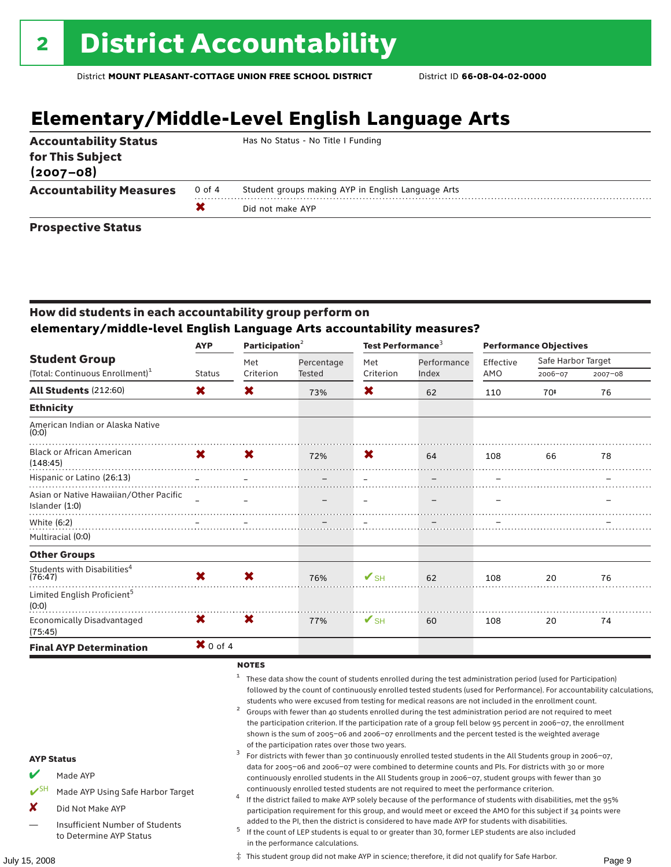# **Elementary/Middle-Level English Language Arts**

| <b>Accountability Status</b><br>for This Subject<br>$(2007 - 08)$ |        | Has No Status - No Title I Funding                 |
|-------------------------------------------------------------------|--------|----------------------------------------------------|
| <b>Accountability Measures</b>                                    | 0 of 4 | Student groups making AYP in English Language Arts |
|                                                                   |        | Did not make AYP                                   |
| -- -                                                              |        |                                                    |

#### Prospective Status

### How did students in each accountability group perform on **elementary/middle-level English Language Arts accountability measures?**

|                                                          | <b>AYP</b>                                     |           | Participation <sup>2</sup> |                          | Test Performance <sup>3</sup> |           | <b>Performance Objectives</b> |             |
|----------------------------------------------------------|------------------------------------------------|-----------|----------------------------|--------------------------|-------------------------------|-----------|-------------------------------|-------------|
| <b>Student Group</b>                                     |                                                | Met       | Percentage                 | Met                      | Performance                   | Effective | Safe Harbor Target            |             |
| (Total: Continuous Enrollment) <sup>1</sup>              | <b>Status</b>                                  | Criterion | Tested                     | Criterion                | Index                         | AMO       | 2006-07                       | $2007 - 08$ |
| <b>All Students (212:60)</b>                             | X                                              | X         | 73%                        | X                        | 62                            | 110       | 70‡                           | 76          |
| <b>Ethnicity</b>                                         |                                                |           |                            |                          |                               |           |                               |             |
| American Indian or Alaska Native<br>(0:0)                |                                                |           |                            |                          |                               |           |                               |             |
| <b>Black or African American</b><br>(148:45)             | X.                                             | X         | 72%                        | X.                       | 64                            | 108       | 66                            | 78          |
| Hispanic or Latino (26:13)                               | $\mathbf{r}$ and $\mathbf{r}$ and $\mathbf{r}$ |           |                            |                          |                               |           |                               |             |
| Asian or Native Hawaiian/Other Pacific<br>Islander (1:0) | $\equiv$                                       |           |                            |                          |                               |           |                               |             |
| White (6:2)                                              |                                                |           |                            |                          |                               |           |                               |             |
| Multiracial (0:0)                                        |                                                |           |                            |                          |                               |           |                               |             |
| <b>Other Groups</b>                                      |                                                |           |                            |                          |                               |           |                               |             |
| Students with Disabilities <sup>4</sup><br>(76:47)       | X                                              | X         | 76%                        | $\mathbf{V}_{\text{SH}}$ | 62                            | 108       | 20                            | 76          |
| Limited English Proficient <sup>5</sup><br>(0:0)         |                                                |           |                            |                          |                               |           |                               |             |
| <b>Economically Disadvantaged</b><br>(75:45)             | X.                                             | X         | 77%                        | $V$ SH                   | 60                            | 108       | 20                            | 74          |
| <b>Final AYP Determination</b>                           | $\mathbf{X}$ 0 of 4                            |           |                            |                          |                               |           |                               |             |

#### **NOTES**

<sup>1</sup> These data show the count of students enrolled during the test administration period (used for Participation) followed by the count of continuously enrolled tested students (used for Performance). For accountability calculations,

- students who were excused from testing for medical reasons are not included in the enrollment count.<br>2 Groups with fewer than 40 students enrolled during the test administration period are not required to meet the participation criterion. If the participation rate of a group fell below 95 percent in 2006–07, the enrollment shown is the sum of 2005–06 and 2006–07 enrollments and the percent tested is the weighted average
- of the participation rates over those two years.<br><sup>3</sup> For districts with fewer than 30 continuously enrolled tested students in the All Students group in 2006–07, data for 2005–06 and 2006–07 were combined to determine counts and PIs. For districts with 30 or more continuously enrolled students in the All Students group in 2006–07, student groups with fewer than 30
- continuously enrolled tested students are not required to meet the performance criterion. <sup>4</sup> If the district failed to make AYP solely because of the performance of students with disabilities, met the 95% participation requirement for this group, and would meet or exceed the AMO for this subject if 34 points were
- added to the PI, then the district is considered to have made AYP for students with disabilities.<br><sup>5</sup> If the count of LEP students is equal to or greater than 30, former LEP students are also included in the performance calculations.

AYP Status

Made AYP

X Did Not Make AYP

✔SH Made AYP Using Safe Harbor Target

Insufficient Number of Students to Determine AYP Status

July 15, 2008 Page 9 ‡ This student group did not make AYP in science; therefore, it did not qualify for Safe Harbor.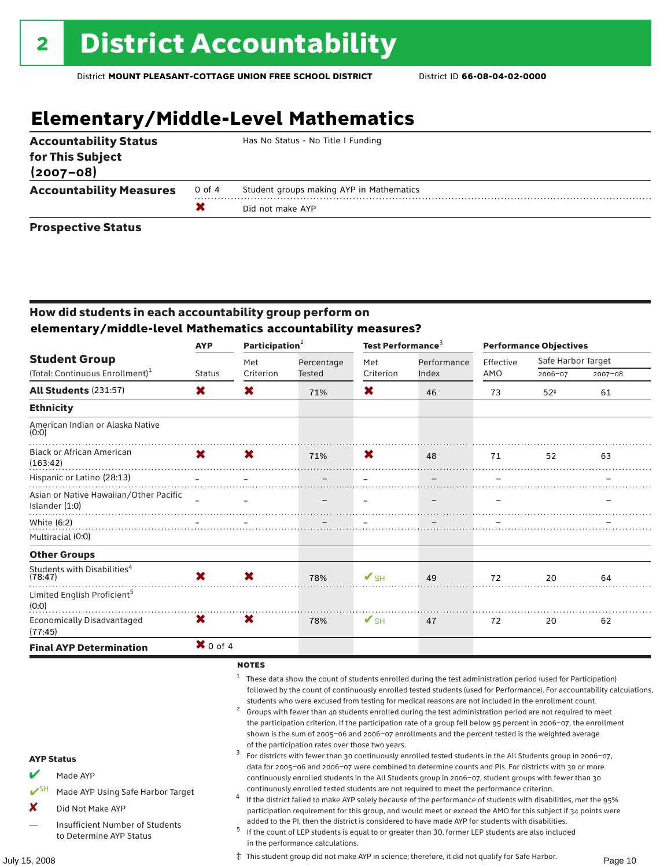# **Elementary/Middle-Level Mathematics**

| <b>Accountability Status</b><br>for This Subject<br>$(2007 - 08)$ |        | Has No Status - No Title I Funding       |
|-------------------------------------------------------------------|--------|------------------------------------------|
| <b>Accountability Measures</b>                                    | 0 of 4 | Student groups making AYP in Mathematics |
|                                                                   |        | Did not make AYP                         |
| Barrow - Alexa Blaker                                             |        |                                          |

#### Prospective Status

### How did students in each accountability group perform on **elementary/middle-level Mathematics accountability measures?**

|                                                            | <b>AYP</b>         |           | Participation $2$ |                          | Test Performance <sup>3</sup> |           | <b>Performance Objectives</b> |             |  |
|------------------------------------------------------------|--------------------|-----------|-------------------|--------------------------|-------------------------------|-----------|-------------------------------|-------------|--|
| <b>Student Group</b>                                       |                    | Met       | Percentage        | Met                      | Performance                   | Effective | Safe Harbor Target            |             |  |
| (Total: Continuous Enrollment) <sup>1</sup>                | <b>Status</b>      | Criterion | Tested            | Criterion                | Index                         | AMO       | 2006-07                       | $2007 - 08$ |  |
| All Students (231:57)                                      | X                  | X         | 71%               | X                        | 46                            | 73        | $52*$                         | 61          |  |
| <b>Ethnicity</b>                                           |                    |           |                   |                          |                               |           |                               |             |  |
| American Indian or Alaska Native<br>(0:0)                  |                    |           |                   |                          |                               |           |                               |             |  |
| <b>Black or African American</b><br>(163:42)               | X.<br>$\mathbf{x}$ |           | 71%               | <b>X</b>                 | 48                            | 71        | 52                            | 63          |  |
| Hispanic or Latino (28:13)                                 |                    |           |                   |                          |                               |           |                               |             |  |
| Asian or Native Hawaiian/Other Pacific<br>Islander $(1:0)$ |                    |           |                   |                          |                               |           |                               |             |  |
| White (6:2)                                                |                    |           |                   |                          |                               |           |                               |             |  |
| Multiracial (0:0)                                          |                    |           |                   |                          |                               |           |                               |             |  |
| <b>Other Groups</b>                                        |                    |           |                   |                          |                               |           |                               |             |  |
| Students with Disabilities <sup>4</sup><br>(78:47)         | X                  | X         | 78%               | $V$ SH                   | 49                            | 72        | 20                            | 64          |  |
| Limited English Proficient <sup>5</sup><br>(0:0)           |                    |           |                   |                          |                               |           |                               |             |  |
| <b>Economically Disadvantaged</b><br>(77:45)               | X.                 | X         | 78%               | $\mathbf{V}_{\text{SH}}$ | 47                            | 72        | 20                            | 62          |  |
| <b>Final AYP Determination</b>                             | $\bm{X}$ 0 of 4    |           |                   |                          |                               |           |                               |             |  |

#### **NOTES**

<sup>1</sup> These data show the count of students enrolled during the test administration period (used for Participation) followed by the count of continuously enrolled tested students (used for Performance). For accountability calculations,

- students who were excused from testing for medical reasons are not included in the enrollment count.<br>2 Groups with fewer than 40 students enrolled during the test administration period are not required to meet the participation criterion. If the participation rate of a group fell below 95 percent in 2006–07, the enrollment shown is the sum of 2005–06 and 2006–07 enrollments and the percent tested is the weighted average
- of the participation rates over those two years.<br><sup>3</sup> For districts with fewer than 30 continuously enrolled tested students in the All Students group in 2006–07, data for 2005–06 and 2006–07 were combined to determine counts and PIs. For districts with 30 or more continuously enrolled students in the All Students group in 2006–07, student groups with fewer than 30
- continuously enrolled tested students are not required to meet the performance criterion. <sup>4</sup> If the district failed to make AYP solely because of the performance of students with disabilities, met the 95% participation requirement for this group, and would meet or exceed the AMO for this subject if 34 points were
- added to the PI, then the district is considered to have made AYP for students with disabilities. <sup>5</sup> If the count of LEP students is equal to or greater than 30, former LEP students are also included in the performance calculations.

AYP Status

Made AYP

X Did Not Make AYP

✔SH Made AYP Using Safe Harbor Target

Insufficient Number of Students to Determine AYP Status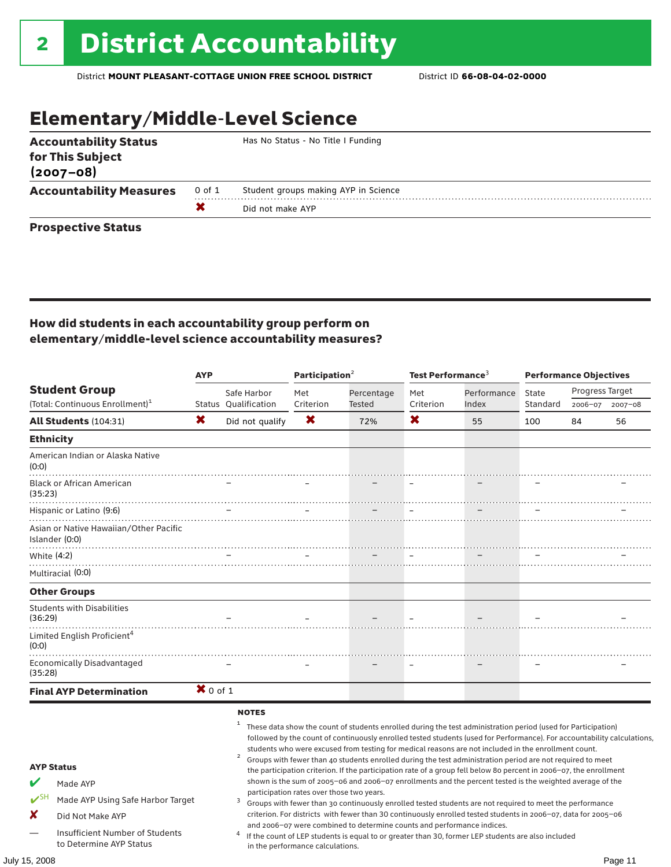# Elementary/Middle-Level Science

| <b>Accountability Status</b><br>for This Subject<br>$(2007 - 08)$ |        | Has No Status - No Title I Funding   |
|-------------------------------------------------------------------|--------|--------------------------------------|
| <b>Accountability Measures</b>                                    | 0 of 1 | Student groups making AYP in Science |
|                                                                   |        | Did not make AYP                     |
| <b>Prospective Status</b>                                         |        |                                      |

### How did students in each accountability group perform on elementary/middle-level science accountability measures?

|                      |                                                                                                                                                      | <b>AYP</b> |                                                        | Participation $2$                                                             |                                                                        | Test Performance <sup>3</sup> |                                                                                                                                                                                                                                                                                                                                                                                                                                                                                                                                                                                                                                                                                                                                                                                                                                                                                                                                                                                                                                       | <b>Performance Objectives</b> |                 |         |
|----------------------|------------------------------------------------------------------------------------------------------------------------------------------------------|------------|--------------------------------------------------------|-------------------------------------------------------------------------------|------------------------------------------------------------------------|-------------------------------|---------------------------------------------------------------------------------------------------------------------------------------------------------------------------------------------------------------------------------------------------------------------------------------------------------------------------------------------------------------------------------------------------------------------------------------------------------------------------------------------------------------------------------------------------------------------------------------------------------------------------------------------------------------------------------------------------------------------------------------------------------------------------------------------------------------------------------------------------------------------------------------------------------------------------------------------------------------------------------------------------------------------------------------|-------------------------------|-----------------|---------|
|                      | <b>Student Group</b>                                                                                                                                 |            | Safe Harbor                                            | Met                                                                           | Percentage                                                             | Met                           | Performance                                                                                                                                                                                                                                                                                                                                                                                                                                                                                                                                                                                                                                                                                                                                                                                                                                                                                                                                                                                                                           | State                         | Progress Target |         |
|                      | (Total: Continuous Enrollment) <sup>1</sup>                                                                                                          |            | Status Qualification                                   | Criterion                                                                     | Tested                                                                 | Criterion                     | Index                                                                                                                                                                                                                                                                                                                                                                                                                                                                                                                                                                                                                                                                                                                                                                                                                                                                                                                                                                                                                                 | Standard                      | 2006-07         | 2007-08 |
|                      | All Students (104:31)                                                                                                                                | X          | Did not qualify                                        | ×                                                                             | 72%                                                                    | X.                            | 55                                                                                                                                                                                                                                                                                                                                                                                                                                                                                                                                                                                                                                                                                                                                                                                                                                                                                                                                                                                                                                    | 100                           | 84              | 56      |
|                      | <b>Ethnicity</b>                                                                                                                                     |            |                                                        |                                                                               |                                                                        |                               |                                                                                                                                                                                                                                                                                                                                                                                                                                                                                                                                                                                                                                                                                                                                                                                                                                                                                                                                                                                                                                       |                               |                 |         |
| (0:0)                | American Indian or Alaska Native                                                                                                                     |            |                                                        |                                                                               |                                                                        |                               |                                                                                                                                                                                                                                                                                                                                                                                                                                                                                                                                                                                                                                                                                                                                                                                                                                                                                                                                                                                                                                       |                               |                 |         |
| (35:23)              | <b>Black or African American</b>                                                                                                                     |            |                                                        |                                                                               |                                                                        |                               |                                                                                                                                                                                                                                                                                                                                                                                                                                                                                                                                                                                                                                                                                                                                                                                                                                                                                                                                                                                                                                       |                               |                 |         |
|                      | Hispanic or Latino (9:6)                                                                                                                             |            |                                                        |                                                                               |                                                                        |                               |                                                                                                                                                                                                                                                                                                                                                                                                                                                                                                                                                                                                                                                                                                                                                                                                                                                                                                                                                                                                                                       |                               |                 |         |
|                      | Asian or Native Hawaiian/Other Pacific<br>Islander (0:0)                                                                                             |            |                                                        |                                                                               |                                                                        |                               |                                                                                                                                                                                                                                                                                                                                                                                                                                                                                                                                                                                                                                                                                                                                                                                                                                                                                                                                                                                                                                       |                               |                 |         |
|                      | White (4:2)                                                                                                                                          |            |                                                        |                                                                               |                                                                        |                               |                                                                                                                                                                                                                                                                                                                                                                                                                                                                                                                                                                                                                                                                                                                                                                                                                                                                                                                                                                                                                                       |                               |                 |         |
|                      | Multiracial (0:0)                                                                                                                                    |            |                                                        |                                                                               |                                                                        |                               |                                                                                                                                                                                                                                                                                                                                                                                                                                                                                                                                                                                                                                                                                                                                                                                                                                                                                                                                                                                                                                       |                               |                 |         |
|                      | <b>Other Groups</b>                                                                                                                                  |            |                                                        |                                                                               |                                                                        |                               |                                                                                                                                                                                                                                                                                                                                                                                                                                                                                                                                                                                                                                                                                                                                                                                                                                                                                                                                                                                                                                       |                               |                 |         |
| (36:29)              | <b>Students with Disabilities</b><br>.                                                                                                               |            |                                                        |                                                                               |                                                                        |                               |                                                                                                                                                                                                                                                                                                                                                                                                                                                                                                                                                                                                                                                                                                                                                                                                                                                                                                                                                                                                                                       |                               |                 |         |
| (0:0)                | Limited English Proficient <sup>4</sup>                                                                                                              |            |                                                        |                                                                               |                                                                        |                               |                                                                                                                                                                                                                                                                                                                                                                                                                                                                                                                                                                                                                                                                                                                                                                                                                                                                                                                                                                                                                                       |                               |                 |         |
| (35:28)              | <b>Economically Disadvantaged</b>                                                                                                                    |            |                                                        |                                                                               |                                                                        |                               |                                                                                                                                                                                                                                                                                                                                                                                                                                                                                                                                                                                                                                                                                                                                                                                                                                                                                                                                                                                                                                       |                               |                 |         |
|                      | <b>Final AYP Determination</b>                                                                                                                       | $X$ 0 of 1 |                                                        |                                                                               |                                                                        |                               |                                                                                                                                                                                                                                                                                                                                                                                                                                                                                                                                                                                                                                                                                                                                                                                                                                                                                                                                                                                                                                       |                               |                 |         |
| $V^{\text{SH}}$<br>X | <b>AYP Status</b><br>Made AYP<br>Made AYP Using Safe Harbor Target<br>Did Not Make AYP<br>Insufficient Number of Students<br>to Determine AYP Status |            | <b>NOTES</b><br>1<br>$\overline{\mathbf{c}}$<br>3<br>4 | participation rates over those two years.<br>in the performance calculations. | and 2006-07 were combined to determine counts and performance indices. |                               | These data show the count of students enrolled during the test administration period (used for Participation)<br>followed by the count of continuously enrolled tested students (used for Performance). For accountability calculations,<br>students who were excused from testing for medical reasons are not included in the enrollment count.<br>Groups with fewer than 40 students enrolled during the test administration period are not required to meet<br>the participation criterion. If the participation rate of a group fell below 80 percent in 2006-07, the enrollment<br>shown is the sum of 2005-06 and 2006-07 enrollments and the percent tested is the weighted average of the<br>Groups with fewer than 30 continuously enrolled tested students are not required to meet the performance<br>criterion. For districts with fewer than 30 continuously enrolled tested students in 2006-07, data for 2005-06<br>If the count of LEP students is equal to or greater than 30, former LEP students are also included |                               |                 |         |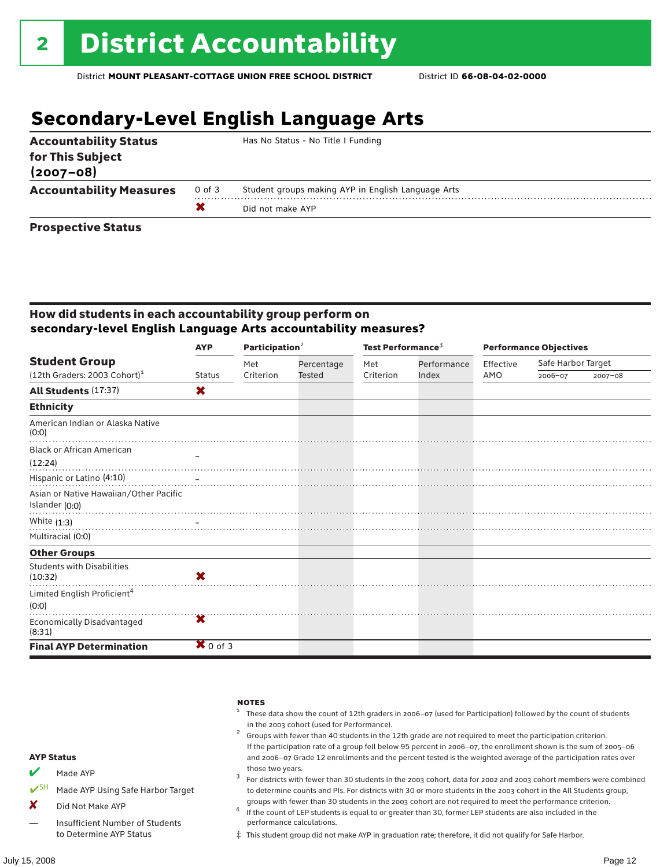### **Secondary-Level English Language Arts**

| <b>Accountability Status</b><br>for This Subject<br>$(2007 - 08)$ |        | Has No Status - No Title I Funding                 |
|-------------------------------------------------------------------|--------|----------------------------------------------------|
| <b>Accountability Measures</b>                                    | 0 of 3 | Student groups making AYP in English Language Arts |
|                                                                   |        | Did not make AYP                                   |
| <b>Prospective Status</b>                                         |        |                                                    |

### How did students in each accountability group perform on **secondary-level English Language Arts accountability measures?**

|                                                          | <b>AYP</b>          | Participation <sup>2</sup> |            | Test Performance <sup>3</sup> |             | <b>Performance Objectives</b> |                    |             |  |
|----------------------------------------------------------|---------------------|----------------------------|------------|-------------------------------|-------------|-------------------------------|--------------------|-------------|--|
| <b>Student Group</b>                                     |                     | Met                        | Percentage | Met                           | Performance | Effective                     | Safe Harbor Target |             |  |
| $(12th$ Graders: 2003 Cohort) <sup>1</sup>               | <b>Status</b>       | Criterion                  | Tested     | Criterion                     | Index       | AMO                           | 2006-07            | $2007 - 08$ |  |
| <b>All Students (17:37)</b>                              | X                   |                            |            |                               |             |                               |                    |             |  |
| <b>Ethnicity</b>                                         |                     |                            |            |                               |             |                               |                    |             |  |
| American Indian or Alaska Native<br>(0:0)                |                     |                            |            |                               |             |                               |                    |             |  |
| <b>Black or African American</b>                         |                     |                            |            |                               |             |                               |                    |             |  |
| (12:24)                                                  |                     |                            |            |                               |             |                               |                    |             |  |
| Hispanic or Latino (4:10)                                |                     |                            |            |                               |             |                               |                    |             |  |
| Asian or Native Hawaiian/Other Pacific<br>Islander (0:0) |                     |                            |            |                               |             |                               |                    |             |  |
| White $(1:3)$                                            |                     |                            |            |                               |             |                               |                    |             |  |
| Multiracial (0:0)                                        |                     |                            |            |                               |             |                               |                    |             |  |
| <b>Other Groups</b>                                      |                     |                            |            |                               |             |                               |                    |             |  |
| <b>Students with Disabilities</b><br>(10:32)             | X                   |                            |            |                               |             |                               |                    |             |  |
| Limited English Proficient <sup>4</sup><br>(0:0)         |                     |                            |            |                               |             |                               |                    |             |  |
| <b>Economically Disadvantaged</b><br>(8:31)              | х                   |                            |            |                               |             |                               |                    |             |  |
| <b>Final AYP Determination</b>                           | $\mathbf{X}$ 0 of 3 |                            |            |                               |             |                               |                    |             |  |



‡ This student group did not make AYP in graduation rate; therefore, it did not qualify for Safe Harbor.

— Insufficient Number of Students to Determine AYP Status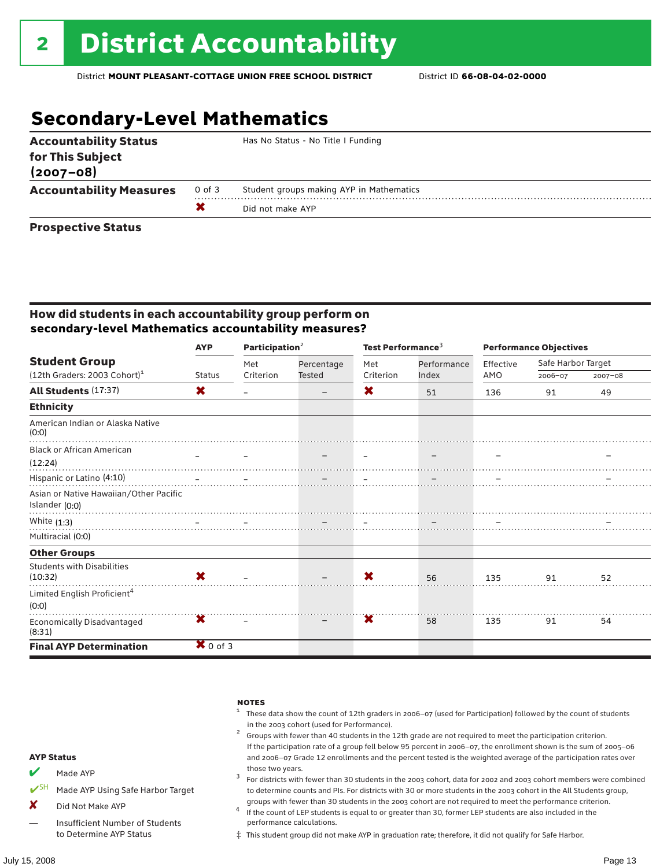# **Secondary-Level Mathematics**

| <b>Accountability Status</b><br>for This Subject<br>$(2007 - 08)$ |        | Has No Status - No Title I Funding       |
|-------------------------------------------------------------------|--------|------------------------------------------|
| <b>Accountability Measures</b>                                    | 0 of 3 | Student groups making AYP in Mathematics |
|                                                                   |        | Did not make AYP                         |
| Business and the Blakes                                           |        |                                          |

#### Prospective Status

### How did students in each accountability group perform on **secondary-level Mathematics accountability measures?**

|                                                                    | Participation <sup>2</sup><br><b>AYP</b> |                  |                      | Test Performance <sup>3</sup> |                      | <b>Performance Objectives</b> |                    |             |
|--------------------------------------------------------------------|------------------------------------------|------------------|----------------------|-------------------------------|----------------------|-------------------------------|--------------------|-------------|
| <b>Student Group</b><br>$(12th$ Graders: 2003 Cohort) <sup>1</sup> | <b>Status</b>                            | Met<br>Criterion | Percentage<br>Tested | Met<br>Criterion              | Performance<br>Index | Effective<br>AMO              | Safe Harbor Target |             |
|                                                                    |                                          |                  |                      |                               |                      |                               | 2006-07            | $2007 - 08$ |
| <b>All Students (17:37)</b>                                        | X                                        |                  | -                    | X                             | 51                   | 136                           | 91                 | 49          |
| <b>Ethnicity</b>                                                   |                                          |                  |                      |                               |                      |                               |                    |             |
| American Indian or Alaska Native<br>(0:0)                          |                                          |                  |                      |                               |                      |                               |                    |             |
| <b>Black or African American</b>                                   |                                          |                  |                      |                               |                      |                               |                    |             |
| (12:24)                                                            |                                          |                  |                      |                               |                      |                               |                    |             |
| Hispanic or Latino (4:10)                                          |                                          |                  |                      |                               |                      |                               |                    |             |
| Asian or Native Hawaiian/Other Pacific<br>Islander (0:0)           |                                          |                  |                      |                               |                      |                               |                    |             |
| White $(1:3)$                                                      |                                          |                  |                      |                               |                      |                               |                    |             |
| Multiracial (0:0)                                                  |                                          |                  |                      |                               |                      |                               |                    |             |
| <b>Other Groups</b>                                                |                                          |                  |                      |                               |                      |                               |                    |             |
| <b>Students with Disabilities</b><br>(10:32)                       | X                                        |                  |                      | X                             | 56                   | 135                           | 91                 | 52          |
| Limited English Proficient <sup>4</sup><br>(0:0)                   |                                          |                  |                      |                               |                      |                               |                    |             |
| <b>Economically Disadvantaged</b><br>(8:31)                        | Х                                        |                  |                      | Х                             | 58                   | 135                           | 91                 | 54          |
| <b>Final AYP Determination</b>                                     | $\mathbf{X}$ 0 of 3                      |                  |                      |                               |                      |                               |                    |             |

#### **NOTES**

- <sup>1</sup> These data show the count of 12th graders in 2006–07 (used for Participation) followed by the count of students
- in the 2003 cohort (used for Performance).<br><sup>2</sup> Groups with fewer than 40 students in the 12th grade are not required to meet the participation criterion. If the participation rate of a group fell below 95 percent in 2006–07, the enrollment shown is the sum of 2005–06 and 2006–07 Grade 12 enrollments and the percent tested is the weighted average of the participation rates over
- those two years.<br><sup>3</sup> For districts with fewer than 30 students in the 2003 cohort, data for 2002 and 2003 cohort members were combined to determine counts and PIs. For districts with 30 or more students in the 2003 cohort in the All Students group,
- groups with fewer than 30 students in the 2003 cohort are not required to meet the performance criterion.<br><sup>4</sup> If the count of LEP students is equal to or greater than 30, former LEP students are also included in the performance calculations.
- ‡ This student group did not make AYP in graduation rate; therefore, it did not qualify for Safe Harbor.
- $M$  Made AYP
- ✔SH Made AYP Using Safe Harbor Target
- X Did Not Make AYP
- Insufficient Number of Students to Determine AYP Status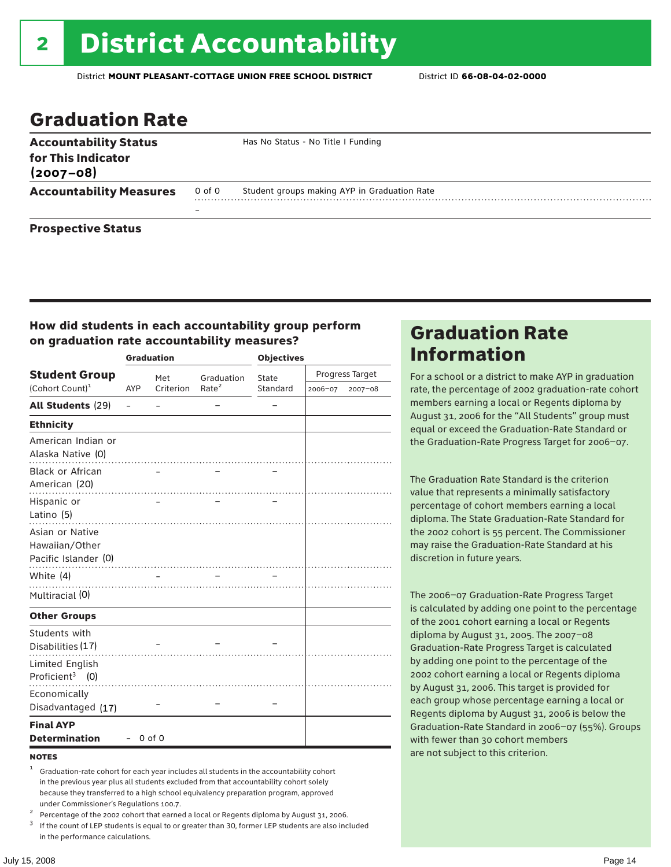### Graduation Rate

| <b>Accountability Status</b><br>for This Indicator<br>$(2007 - 08)$ |                          | Has No Status - No Title I Funding           |
|---------------------------------------------------------------------|--------------------------|----------------------------------------------|
| <b>Accountability Measures</b>                                      | 0 of 0                   | Student groups making AYP in Graduation Rate |
|                                                                     | $\overline{\phantom{0}}$ |                                              |
| <b>Prospective Status</b>                                           |                          |                                              |

### How did students in each accountability group perform on graduation rate accountability measures?

|                                                           |          | <b>Graduation</b> |                   | <b>Objectives</b> |         |                 |  |
|-----------------------------------------------------------|----------|-------------------|-------------------|-------------------|---------|-----------------|--|
| <b>Student Group</b>                                      |          | Met               | Graduation        | State             |         | Progress Target |  |
| (Cohort Count) <sup>1</sup>                               | AYP      | Criterion         | Rate <sup>2</sup> | Standard          | 2006-07 | 2007-08         |  |
| <b>All Students (29)</b>                                  | $\equiv$ |                   |                   |                   |         |                 |  |
| <b>Ethnicity</b>                                          |          |                   |                   |                   |         |                 |  |
| American Indian or<br>Alaska Native (0)                   |          |                   |                   |                   |         |                 |  |
| <b>Black or African</b><br>American (20)                  |          |                   |                   |                   |         |                 |  |
| Hispanic or<br>Latino (5)                                 |          |                   |                   |                   |         |                 |  |
| Asian or Native<br>Hawaiian/Other<br>Pacific Islander (0) |          |                   |                   |                   |         |                 |  |
| White (4)                                                 |          |                   |                   |                   |         |                 |  |
| Multiracial (0)                                           |          |                   |                   |                   |         |                 |  |
| <b>Other Groups</b>                                       |          |                   |                   |                   |         |                 |  |
| Students with<br>Disabilities (17)                        |          |                   |                   |                   |         |                 |  |
| Limited English<br>Proficient <sup>3</sup> $(0)$          |          |                   |                   |                   |         |                 |  |
| Economically<br>Disadvantaged (17)                        |          |                   |                   |                   |         |                 |  |
| <b>Final AYP</b><br><b>Determination</b>                  |          | $0$ of $0$        |                   |                   |         |                 |  |

#### **NOTES**

- <sup>1</sup> Graduation-rate cohort for each year includes all students in the accountability cohort in the previous year plus all students excluded from that accountability cohort solely because they transferred to a high school equivalency preparation program, approved
- 
- under Commissioner's Regulations 100.7.<br>
Percentage of the 2002 cohort that earned a local or Regents diploma by August 31, 2006.<br>
<sup>3</sup> If the count of LEP students is equal to or greater than 30, former LEP students are a in the performance calculations.

### Graduation Rate Information

For a school or a district to make AYP in graduation rate, the percentage of 2002 graduation-rate cohort members earning a local or Regents diploma by August 31, 2006 for the "All Students" group must equal or exceed the Graduation-Rate Standard or the Graduation-Rate Progress Target for 2006–07.

The Graduation Rate Standard is the criterion value that represents a minimally satisfactory percentage of cohort members earning a local diploma. The State Graduation-Rate Standard for the 2002 cohort is 55 percent. The Commissioner may raise the Graduation-Rate Standard at his discretion in future years.

The 2006–07 Graduation-Rate Progress Target is calculated by adding one point to the percentage of the 2001 cohort earning a local or Regents diploma by August 31, 2005. The 2007–08 Graduation-Rate Progress Target is calculated by adding one point to the percentage of the 2002 cohort earning a local or Regents diploma by August 31, 2006. This target is provided for each group whose percentage earning a local or Regents diploma by August 31, 2006 is below the Graduation-Rate Standard in 2006–07 (55%). Groups with fewer than 30 cohort members are not subject to this criterion.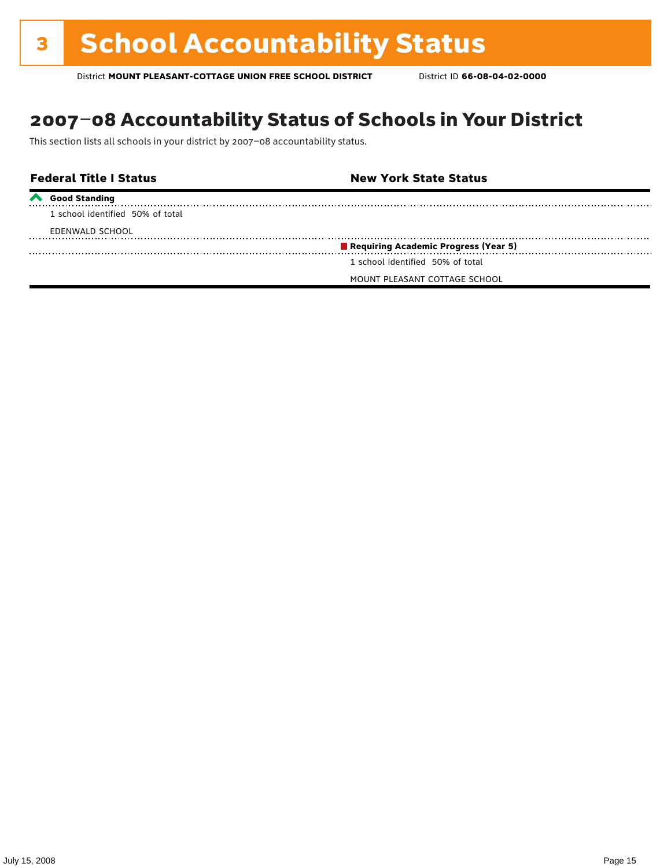### 2007–08 Accountability Status of Schools in Your District

This section lists all schools in your district by 2007–08 accountability status.

#### **Federal Title I Status New York State Status Good Standing** 1 school identified 50% of total EDENWALD SCHOOL **Requiring Academic Progress (Year 5)** 1 school identified 50% of total MOUNT PLEASANT COTTAGE SCHOOL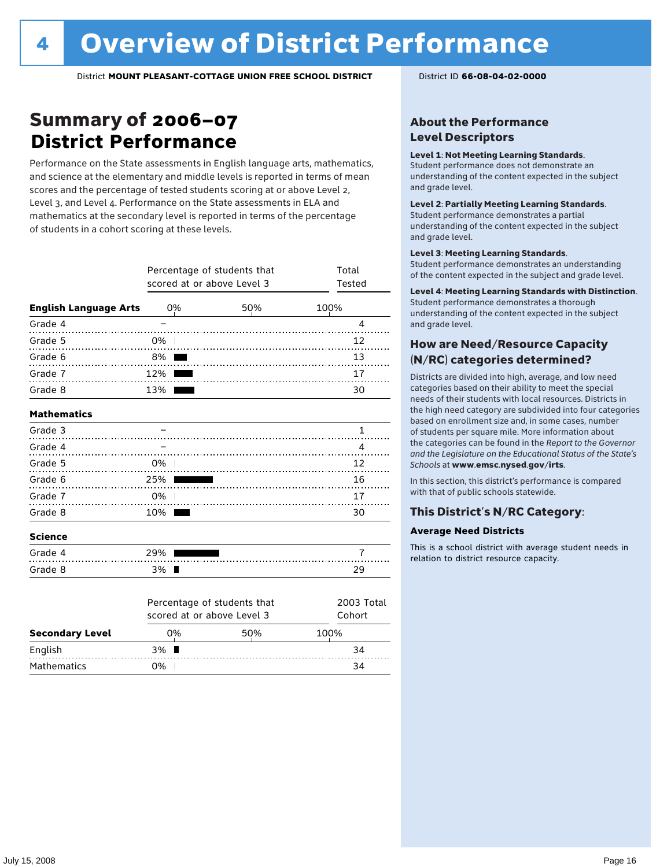### Summary of 2006–07 **District Performance**

Performance on the State assessments in English language arts, mathematics, and science at the elementary and middle levels is reported in terms of mean scores and the percentage of tested students scoring at or above Level 2, Level 3, and Level 4. Performance on the State assessments in ELA and mathematics at the secondary level is reported in terms of the percentage of students in a cohort scoring at these levels.

|                              | Percentage of students that<br>scored at or above Level 3 | Total<br>Tested |      |
|------------------------------|-----------------------------------------------------------|-----------------|------|
| <b>English Language Arts</b> | 0%                                                        | 50%             | 100% |
| Grade 4                      |                                                           |                 | 4    |
| Grade 5                      | 0%                                                        |                 | 12   |
| Grade 6                      | 8%                                                        |                 | 13   |
| Grade 7                      | 12%                                                       |                 | 17   |
| Grade 8                      | 13%                                                       |                 | 30   |
| <b>Mathematics</b>           |                                                           |                 |      |
| Grade 3                      |                                                           |                 | 1    |
| Grade 4                      |                                                           |                 | 4    |
| Grade 5                      | 0%                                                        |                 | 12   |
| Grade 6                      | 25%                                                       |                 | 16   |
| Grade 7                      | 0%                                                        |                 | 17   |
| Grade 8                      | 10%                                                       |                 | 30   |
| <b>Science</b>               |                                                           |                 |      |
| Grade 4                      | 29%                                                       |                 | 7    |
| Grade 8                      | 3% ■                                                      |                 | 29   |

|                        | scored at or above Level 3 | Percentage of students that | 2003 Total<br>Cohort |
|------------------------|----------------------------|-----------------------------|----------------------|
| <b>Secondary Level</b> | 0%                         | 50%                         | 100%                 |
| English                | $3\%$ $\blacksquare$       |                             | 34                   |
| Mathematics            | ገ%                         |                             | 34                   |

### About the Performance Level Descriptors

#### Level 1: Not Meeting Learning Standards.

Student performance does not demonstrate an understanding of the content expected in the subject and grade level.

#### Level 2: Partially Meeting Learning Standards.

Student performance demonstrates a partial understanding of the content expected in the subject and grade level.

#### Level 3: Meeting Learning Standards.

Student performance demonstrates an understanding of the content expected in the subject and grade level.

#### Level 4: Meeting Learning Standards with Distinction.

Student performance demonstrates a thorough understanding of the content expected in the subject and grade level.

### How are Need/Resource Capacity (N/RC) categories determined?

Districts are divided into high, average, and low need categories based on their ability to meet the special needs of their students with local resources. Districts in the high need category are subdivided into four categories based on enrollment size and, in some cases, number of students per square mile. More information about the categories can be found in the *Report to the Governor and the Legislature on the Educational Status of the State's Schools* at www.emsc.nysed.gov/irts.

In this section, this district's performance is compared with that of public schools statewide.

### This District's N/RC Category:

#### **Average Need Districts**

This is a school district with average student needs in relation to district resource capacity.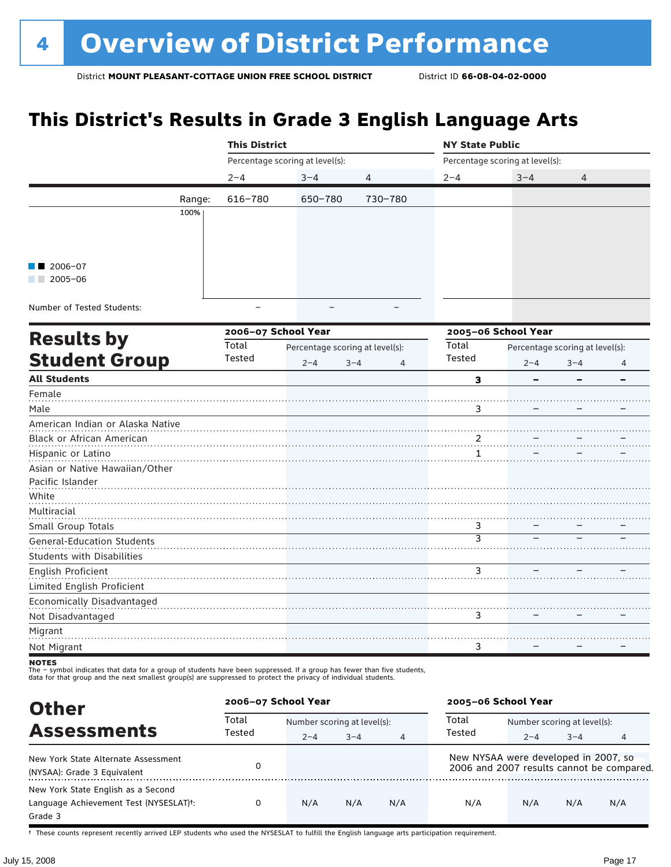# **This District's Results in Grade 3 English Language Arts**

|                                   |        | <b>This District</b> |                                 |                           | <b>NY State Public</b>     |                                 |                                 |   |  |
|-----------------------------------|--------|----------------------|---------------------------------|---------------------------|----------------------------|---------------------------------|---------------------------------|---|--|
|                                   |        |                      | Percentage scoring at level(s): |                           |                            | Percentage scoring at level(s): |                                 |   |  |
|                                   |        | $2 - 4$              | $3 - 4$                         | 4                         | $2 - 4$                    | $3 - 4$                         | 4                               |   |  |
|                                   | Range: | 616-780              | 650-780                         | 730-780                   |                            |                                 |                                 |   |  |
|                                   | 100%   |                      |                                 |                           |                            |                                 |                                 |   |  |
|                                   |        |                      |                                 |                           |                            |                                 |                                 |   |  |
|                                   |        |                      |                                 |                           |                            |                                 |                                 |   |  |
| $2006 - 07$                       |        |                      |                                 |                           |                            |                                 |                                 |   |  |
| $\blacksquare$ 2005-06            |        |                      |                                 |                           |                            |                                 |                                 |   |  |
|                                   |        |                      |                                 |                           |                            |                                 |                                 |   |  |
| Number of Tested Students:        |        |                      |                                 |                           |                            |                                 |                                 |   |  |
|                                   |        | 2006-07 School Year  |                                 |                           |                            | 2005-06 School Year             |                                 |   |  |
| <b>Results by</b>                 |        | Total                | Percentage scoring at level(s): |                           | Total                      |                                 | Percentage scoring at level(s): |   |  |
| <b>Student Group</b>              |        | Tested               | $2 - 4$                         | $3 - 4$<br>$\overline{4}$ | Tested                     | $2 - 4$                         | $3 - 4$                         | 4 |  |
| <b>All Students</b>               |        |                      |                                 |                           | з                          |                                 |                                 |   |  |
| Female                            |        |                      |                                 |                           |                            |                                 |                                 |   |  |
| Male                              |        |                      |                                 |                           | 3                          |                                 |                                 |   |  |
| American Indian or Alaska Native  |        |                      |                                 |                           |                            |                                 |                                 |   |  |
| Black or African American         |        |                      |                                 |                           | $\overline{\mathcal{L}}$ . |                                 |                                 |   |  |
| Hispanic or Latino                |        |                      |                                 |                           | 1                          |                                 |                                 |   |  |
| Asian or Native Hawaiian/Other    |        |                      |                                 |                           |                            |                                 |                                 |   |  |
| Pacific Islander                  |        |                      |                                 |                           |                            |                                 |                                 |   |  |
| White<br>Multiracial              |        |                      |                                 |                           |                            |                                 |                                 |   |  |
| Small Group Totals                |        |                      |                                 |                           | 3                          |                                 |                                 |   |  |
| <b>General-Education Students</b> |        |                      |                                 |                           | $\overline{3}$             |                                 |                                 |   |  |
| <b>Students with Disabilities</b> |        |                      |                                 |                           |                            |                                 |                                 |   |  |
| English Proficient                |        |                      |                                 |                           | 3                          |                                 |                                 |   |  |
| Limited English Proficient        |        |                      |                                 |                           |                            |                                 |                                 |   |  |
| Economically Disadvantaged        |        |                      |                                 |                           |                            |                                 |                                 |   |  |
| Not Disadvantaged                 |        |                      |                                 |                           | 3                          |                                 |                                 |   |  |
| Migrant                           |        |                      |                                 |                           |                            |                                 |                                 |   |  |
| Not Migrant                       |        |                      |                                 |                           | 3                          |                                 |                                 |   |  |

The – symbot muicates that data for a group of students have been suppressed. In a group has fewer than five<br>data for that group and the next smallest group(s) are suppressed to protect the privacy of individual students.

| <b>Other</b>                                        | 2006-07 School Year |                             |         |                | 2005-06 School Year                  |                             |         |                                           |
|-----------------------------------------------------|---------------------|-----------------------------|---------|----------------|--------------------------------------|-----------------------------|---------|-------------------------------------------|
| <b>Assessments</b>                                  | Total<br>Tested     | Number scoring at level(s): |         |                | Total                                | Number scoring at level(s): |         |                                           |
|                                                     |                     | $2 - 4$                     | $3 - 4$ | $\overline{4}$ | Tested                               | $2 - 4$                     | $3 - 4$ | 4                                         |
| New York State Alternate Assessment                 | 0                   |                             |         |                | New NYSAA were developed in 2007, so |                             |         | 2006 and 2007 results cannot be compared. |
| (NYSAA): Grade 3 Equivalent                         |                     |                             |         |                |                                      |                             |         |                                           |
| New York State English as a Second                  |                     |                             |         |                |                                      |                             |         |                                           |
| Language Achievement Test (NYSESLAT) <sup>+</sup> : | 0                   | N/A                         | N/A     | N/A            | N/A                                  | N/A                         | N/A     | N/A                                       |
| Grade 3                                             |                     |                             |         |                |                                      |                             |         |                                           |

† These counts represent recently arrived LEP students who used the NYSESLAT to fulfill the English language arts participation requirement.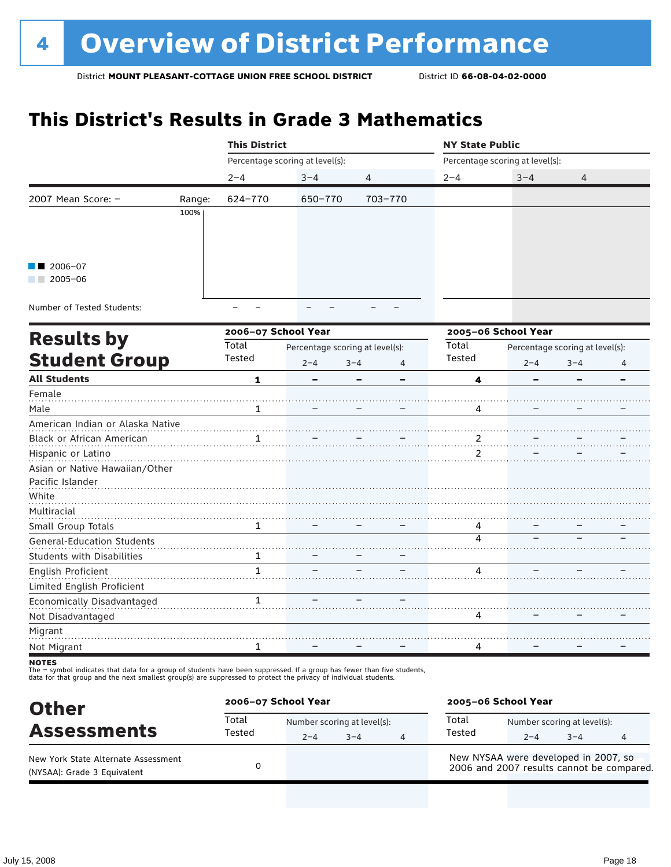# **This District's Results in Grade 3 Mathematics**

|                                   |        | <b>This District</b> |                                 |                           | <b>NY State Public</b>          |                                 |         |   |  |
|-----------------------------------|--------|----------------------|---------------------------------|---------------------------|---------------------------------|---------------------------------|---------|---|--|
|                                   |        |                      | Percentage scoring at level(s): |                           |                                 | Percentage scoring at level(s): |         |   |  |
|                                   |        | $2 - 4$              | $3 - 4$                         | $\overline{4}$            | $2 - 4$                         | $3 - 4$                         | 4       |   |  |
| 2007 Mean Score: -                | Range: | 624-770              | 650-770                         | 703-770                   |                                 |                                 |         |   |  |
|                                   | 100%   |                      |                                 |                           |                                 |                                 |         |   |  |
|                                   |        |                      |                                 |                           |                                 |                                 |         |   |  |
|                                   |        |                      |                                 |                           |                                 |                                 |         |   |  |
| 2006-07                           |        |                      |                                 |                           |                                 |                                 |         |   |  |
| $\blacksquare$ 2005-06            |        |                      |                                 |                           |                                 |                                 |         |   |  |
|                                   |        |                      |                                 |                           |                                 |                                 |         |   |  |
| Number of Tested Students:        |        |                      |                                 |                           |                                 |                                 |         |   |  |
|                                   |        | 2006-07 School Year  |                                 |                           |                                 | 2005-06 School Year             |         |   |  |
| <b>Results by</b>                 |        | Total                | Percentage scoring at level(s): |                           | Total                           | Percentage scoring at level(s): |         |   |  |
| <b>Student Group</b>              |        | Tested               | $2 - 4$                         | $3 - 4$<br>$\overline{4}$ | Tested                          | $2 - 4$                         | $3 - 4$ | 4 |  |
| <b>All Students</b>               |        |                      |                                 |                           |                                 |                                 |         |   |  |
| Female                            |        | 1                    |                                 |                           | 4                               |                                 |         |   |  |
| Male                              |        | 1                    |                                 |                           | 4                               |                                 |         |   |  |
| American Indian or Alaska Native  |        |                      |                                 |                           |                                 |                                 |         |   |  |
| Black or African American         |        | 1                    |                                 |                           |                                 |                                 |         |   |  |
| Hispanic or Latino                |        |                      |                                 |                           | $\frac{2}{1}$ .<br>$\mathbf{2}$ |                                 |         |   |  |
| Asian or Native Hawaiian/Other    |        |                      |                                 |                           |                                 |                                 |         |   |  |
| Pacific Islander                  |        |                      |                                 |                           |                                 |                                 |         |   |  |
| White                             |        |                      |                                 |                           |                                 |                                 |         |   |  |
| Multiracial                       |        |                      |                                 |                           |                                 |                                 |         |   |  |
| Small Group Totals                |        | 1                    |                                 |                           | 4                               |                                 |         |   |  |
| <b>General-Education Students</b> |        |                      |                                 |                           | 4                               |                                 |         |   |  |
| <b>Students with Disabilities</b> |        | 1                    |                                 |                           |                                 |                                 |         |   |  |
| English Proficient                |        | $\mathbf{1}$         |                                 |                           | 4                               |                                 |         |   |  |
| Limited English Proficient        |        |                      |                                 |                           |                                 |                                 |         |   |  |
| Economically Disadvantaged        |        | 1                    |                                 |                           |                                 |                                 |         |   |  |
| Not Disadvantaged                 |        |                      |                                 |                           | 4                               |                                 |         |   |  |
| Migrant                           |        |                      |                                 |                           |                                 |                                 |         |   |  |
| Not Migrant                       |        | 1                    |                                 |                           | 4                               |                                 |         |   |  |
|                                   |        |                      |                                 |                           |                                 |                                 |         |   |  |

notes

| <b>Other</b>                                                       |                 | 2006-07 School Year |                                        |   |                                                                                   | 2005-06 School Year                    |         |   |  |
|--------------------------------------------------------------------|-----------------|---------------------|----------------------------------------|---|-----------------------------------------------------------------------------------|----------------------------------------|---------|---|--|
| <b>Assessments</b>                                                 | Total<br>Tested | $2 - 4$             | Number scoring at level(s):<br>$3 - 4$ | 4 | Total<br>Tested                                                                   | Number scoring at level(s):<br>$2 - 4$ | $3 - 4$ | 4 |  |
| New York State Alternate Assessment<br>(NYSAA): Grade 3 Equivalent |                 |                     |                                        |   | New NYSAA were developed in 2007, so<br>2006 and 2007 results cannot be compared. |                                        |         |   |  |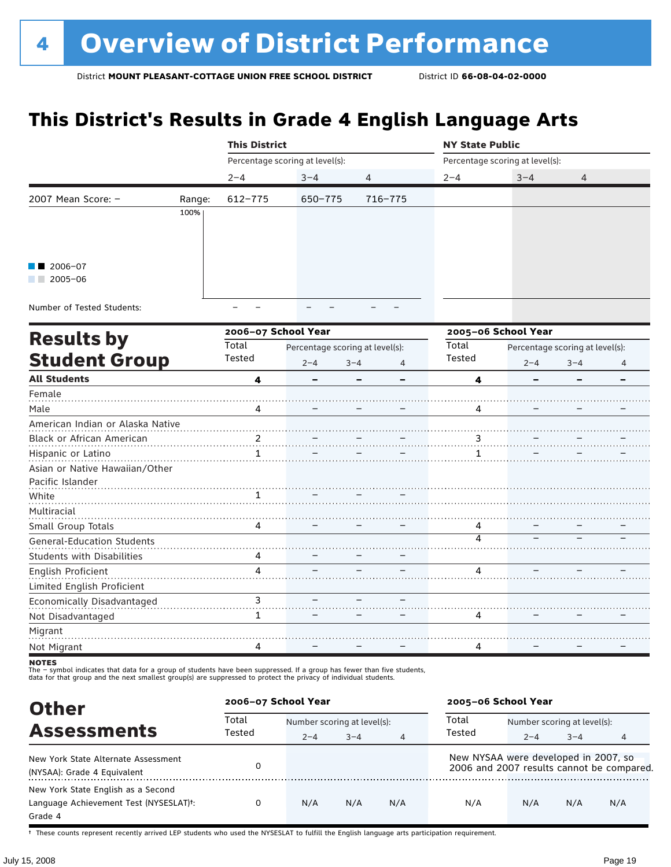### **This District's Results in Grade 4 English Language Arts**

|                                   |        | <b>This District</b> |                                 |              | <b>NY State Public</b>  |                                 |                                 |                          |  |
|-----------------------------------|--------|----------------------|---------------------------------|--------------|-------------------------|---------------------------------|---------------------------------|--------------------------|--|
|                                   |        |                      | Percentage scoring at level(s): |              |                         | Percentage scoring at level(s): |                                 |                          |  |
|                                   |        | $2 - 4$              | $3 - 4$                         | 4            | $2 - 4$                 | $3 - 4$                         | 4                               |                          |  |
| 2007 Mean Score: -                | Range: | 612-775              | 650-775                         | 716-775      |                         |                                 |                                 |                          |  |
|                                   | 100%   |                      |                                 |              |                         |                                 |                                 |                          |  |
|                                   |        |                      |                                 |              |                         |                                 |                                 |                          |  |
|                                   |        |                      |                                 |              |                         |                                 |                                 |                          |  |
| 2006-07                           |        |                      |                                 |              |                         |                                 |                                 |                          |  |
| $\Box$ 2005-06                    |        |                      |                                 |              |                         |                                 |                                 |                          |  |
|                                   |        |                      |                                 |              |                         |                                 |                                 |                          |  |
| Number of Tested Students:        |        |                      |                                 |              |                         |                                 |                                 |                          |  |
| <b>Results by</b>                 |        | 2006-07 School Year  |                                 |              |                         | 2005-06 School Year             |                                 |                          |  |
|                                   |        | Total                | Percentage scoring at level(s): |              | Total                   |                                 | Percentage scoring at level(s): |                          |  |
| <b>Student Group</b>              |        | Tested               | $2 - 4$                         | $3 - 4$<br>4 | Tested                  | $2 - 4$                         | $3 - 4$                         | 4                        |  |
| <b>All Students</b>               |        | 4                    |                                 |              | 4                       |                                 |                                 | $\overline{\phantom{0}}$ |  |
| Female                            |        |                      |                                 |              |                         |                                 |                                 |                          |  |
| Male                              |        | 4                    |                                 |              | 4                       |                                 |                                 |                          |  |
| American Indian or Alaska Native  |        |                      |                                 |              |                         |                                 |                                 |                          |  |
| Black or African American         |        | $\frac{2}{2}$        |                                 |              |                         |                                 |                                 |                          |  |
| Hispanic or Latino                |        | 1                    |                                 |              | 1                       |                                 |                                 |                          |  |
| Asian or Native Hawaiian/Other    |        |                      |                                 |              |                         |                                 |                                 |                          |  |
| Pacific Islander                  |        |                      |                                 |              |                         |                                 |                                 |                          |  |
| White                             |        |                      |                                 |              |                         |                                 |                                 |                          |  |
| Multiracial                       |        |                      |                                 |              |                         |                                 |                                 |                          |  |
| Small Group Totals                |        | 4                    |                                 |              | 4                       |                                 |                                 |                          |  |
| <b>General-Education Students</b> |        |                      |                                 |              | $\overline{\mathbf{A}}$ |                                 |                                 |                          |  |
| <b>Students with Disabilities</b> |        | 4                    |                                 |              |                         |                                 |                                 |                          |  |
| English Proficient                |        | 4                    |                                 |              | 4                       |                                 |                                 |                          |  |
| Limited English Proficient        |        |                      |                                 |              |                         |                                 |                                 |                          |  |
| Economically Disadvantaged        |        | 3                    |                                 |              |                         |                                 |                                 |                          |  |
| Not Disadvantaged                 |        | $\mathbf{1}$         |                                 |              | 4                       |                                 |                                 |                          |  |
| Migrant                           |        |                      |                                 |              |                         |                                 |                                 |                          |  |
| Not Migrant                       |        | 4                    |                                 |              | 4                       |                                 |                                 |                          |  |
| <b>NOTEC</b>                      |        |                      |                                 |              |                         |                                 |                                 |                          |  |

notes

The – symbol indicates that data for a group of students have been suppressed. If a group has fewer than five students,<br>data for that group and the next smallest group(s) are suppressed to protect the privacy of individual

| <b>Other</b>                           | 2006-07 School Year |                             |         |                | 2005-06 School Year                  |                             |         |                                           |
|----------------------------------------|---------------------|-----------------------------|---------|----------------|--------------------------------------|-----------------------------|---------|-------------------------------------------|
| <b>Assessments</b>                     | Total<br>Tested     | Number scoring at level(s): |         |                | Total                                | Number scoring at level(s): |         |                                           |
|                                        |                     | $2 - 4$                     | $3 - 4$ | $\overline{4}$ | Tested                               | $2 - 4$                     | $3 - 4$ | 4                                         |
| New York State Alternate Assessment    |                     |                             |         |                | New NYSAA were developed in 2007, so |                             |         |                                           |
| (NYSAA): Grade 4 Equivalent            |                     |                             |         |                |                                      |                             |         | 2006 and 2007 results cannot be compared. |
| New York State English as a Second     |                     |                             |         |                |                                      |                             |         |                                           |
| Language Achievement Test (NYSESLAT)t: | 0                   | N/A                         | N/A     | N/A            | N/A                                  | N/A                         | N/A     | N/A                                       |
| Grade 4                                |                     |                             |         |                |                                      |                             |         |                                           |

† These counts represent recently arrived LEP students who used the NYSESLAT to fulfill the English language arts participation requirement.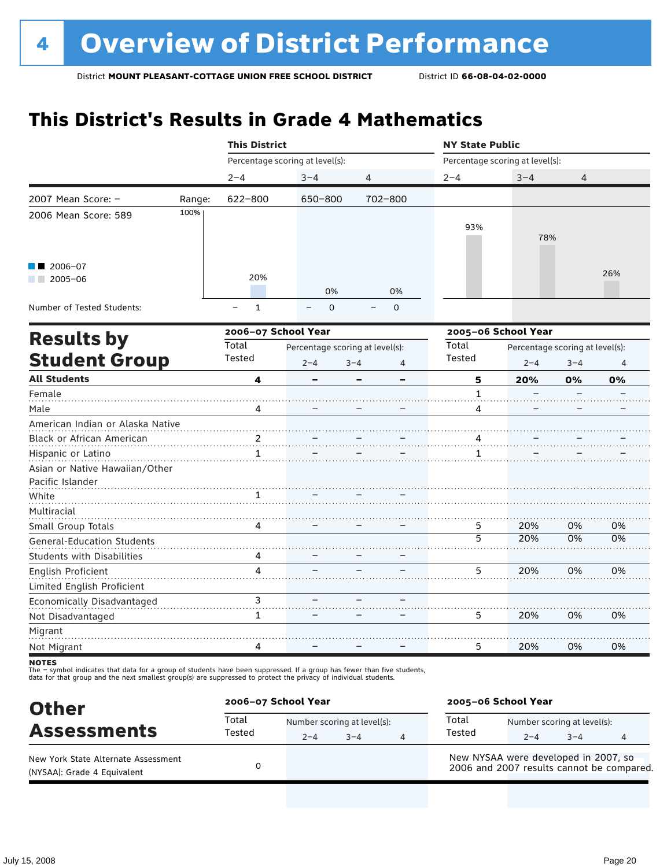# **This District's Results in Grade 4 Mathematics**

|                                   |        | <b>This District</b> |                                 |                           | <b>NY State Public</b> |                                 |         |     |  |
|-----------------------------------|--------|----------------------|---------------------------------|---------------------------|------------------------|---------------------------------|---------|-----|--|
|                                   |        |                      | Percentage scoring at level(s): |                           |                        | Percentage scoring at level(s): |         |     |  |
|                                   |        | $2 - 4$              | $3 - 4$                         | 4                         | $2 - 4$                | $3 - 4$                         | 4       |     |  |
| 2007 Mean Score: -                | Range: | 622-800              | 650-800                         | 702-800                   |                        |                                 |         |     |  |
| 2006 Mean Score: 589              | 100%   |                      |                                 |                           |                        |                                 |         |     |  |
|                                   |        |                      |                                 |                           | 93%                    | 78%                             |         |     |  |
|                                   |        |                      |                                 |                           |                        |                                 |         |     |  |
| $2006 - 07$                       |        |                      |                                 |                           |                        |                                 |         | 26% |  |
| $2005 - 06$                       |        | 20%                  |                                 |                           |                        |                                 |         |     |  |
|                                   |        |                      | 0%                              | 0%                        |                        |                                 |         |     |  |
| Number of Tested Students:        |        | $\mathbf{1}$         | $\Omega$                        | $\mathbf 0$               |                        |                                 |         |     |  |
| <b>Results by</b>                 |        | 2006-07 School Year  |                                 |                           |                        | 2005-06 School Year             |         |     |  |
|                                   |        | Total                | Percentage scoring at level(s): |                           | Total                  | Percentage scoring at level(s): |         |     |  |
| <b>Student Group</b>              |        | Tested               | $2 - 4$                         | $3 - 4$<br>$\overline{4}$ | Tested                 | $2 - 4$                         | $3 - 4$ | 4   |  |
| <b>All Students</b>               |        | 4                    |                                 |                           | 5                      | 20%                             | 0%      | 0%  |  |
| Female                            |        |                      |                                 |                           | 1                      |                                 |         |     |  |
| Male                              |        | 4                    |                                 |                           | 4                      |                                 |         |     |  |
| American Indian or Alaska Native  |        |                      |                                 |                           |                        |                                 |         |     |  |
| Black or African American         |        | 2                    |                                 |                           |                        |                                 |         |     |  |
| Hispanic or Latino                |        | $\mathbf{1}$         |                                 |                           | 1                      |                                 |         |     |  |
| Asian or Native Hawaiian/Other    |        |                      |                                 |                           |                        |                                 |         |     |  |
| Pacific Islander                  |        |                      |                                 |                           |                        |                                 |         |     |  |
| White                             |        | 1                    |                                 |                           |                        |                                 |         |     |  |
| Multiracial                       |        |                      |                                 |                           |                        |                                 |         |     |  |
| Small Group Totals                |        | 4                    |                                 |                           | 5                      | 20%                             | 0%      | 0%  |  |
| <b>General-Education Students</b> |        |                      |                                 |                           | $\overline{5}$         | 20%                             | 0%      | 0%  |  |
| <b>Students with Disabilities</b> |        | 4                    |                                 |                           |                        |                                 |         |     |  |
| <b>English Proficient</b>         |        | 4                    |                                 |                           | 5                      | 20%                             | 0%      | 0%  |  |
| Limited English Proficient        |        |                      |                                 |                           |                        |                                 |         |     |  |
| Economically Disadvantaged        |        | 3                    |                                 |                           |                        |                                 |         |     |  |
| Not Disadvantaged                 |        | 1                    |                                 |                           | 5                      | 20%                             | 0%      | 0%  |  |
| Migrant                           |        |                      |                                 |                           |                        |                                 |         |     |  |
| Not Migrant                       |        | 4                    |                                 |                           | 5                      | 20%                             | 0%      | 0%  |  |
|                                   |        |                      |                                 |                           |                        |                                 |         |     |  |

notes

| <b>Other</b>                                                       | 2006-07 School Year |                                        |      |  | 2005-06 School Year                                                               |                                        |         |   |
|--------------------------------------------------------------------|---------------------|----------------------------------------|------|--|-----------------------------------------------------------------------------------|----------------------------------------|---------|---|
| <b>Assessments</b>                                                 | Total<br>Tested     | Number scoring at level(s):<br>$2 - 4$ | $-4$ |  | Total<br>Tested                                                                   | Number scoring at level(s):<br>$2 - 4$ | $3 - 4$ | 4 |
| New York State Alternate Assessment<br>(NYSAA): Grade 4 Equivalent |                     |                                        |      |  | New NYSAA were developed in 2007, so<br>2006 and 2007 results cannot be compared. |                                        |         |   |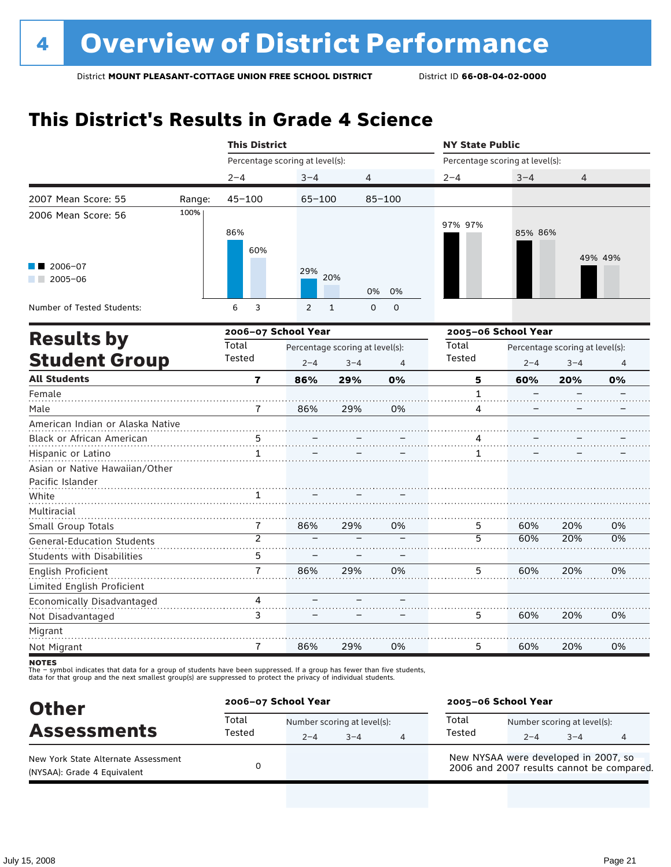### **This District's Results in Grade 4 Science**

|                                                    |        | <b>This District</b>            |                |                                 |             | <b>NY State Public</b>          |                                 |         |         |  |  |
|----------------------------------------------------|--------|---------------------------------|----------------|---------------------------------|-------------|---------------------------------|---------------------------------|---------|---------|--|--|
|                                                    |        | Percentage scoring at level(s): |                |                                 |             | Percentage scoring at level(s): |                                 |         |         |  |  |
|                                                    |        | $2 - 4$                         | $3 - 4$        | 4                               |             | $2 - 4$                         | $3 - 4$                         | 4       |         |  |  |
| 2007 Mean Score: 55                                | Range: | $45 - 100$                      | $65 - 100$     |                                 | $85 - 100$  |                                 |                                 |         |         |  |  |
| 2006 Mean Score: 56                                | 100%   | 86%<br>60%                      |                |                                 |             | 97% 97%                         | 85% 86%                         |         | 49% 49% |  |  |
| 2006-07<br>$2005 - 06$                             |        |                                 | 29%            | 20%<br>0%                       | 0%          |                                 |                                 |         |         |  |  |
| Number of Tested Students:                         |        | 6<br>3                          | $\overline{2}$ | $\mathbf{1}$<br>$\mathbf 0$     | $\mathbf 0$ |                                 |                                 |         |         |  |  |
|                                                    |        | 2006-07 School Year             |                |                                 |             |                                 | 2005-06 School Year             |         |         |  |  |
| <b>Results by</b>                                  |        | Total                           |                | Percentage scoring at level(s): |             |                                 | Percentage scoring at level(s): |         |         |  |  |
| <b>Student Group</b>                               |        | Tested                          | $2 - 4$        | $3 - 4$                         | 4           | Tested                          | $2 - 4$                         | $3 - 4$ | 4       |  |  |
| <b>All Students</b>                                |        | 7                               | 86%            | 29%                             | 0%          | 5                               | 60%                             | 20%     | 0%      |  |  |
| Female                                             |        |                                 |                |                                 |             | 1                               |                                 |         |         |  |  |
| Male                                               |        | 7                               | 86%            | 29%                             | 0%          | 4                               |                                 |         |         |  |  |
| American Indian or Alaska Native                   |        |                                 |                |                                 |             |                                 |                                 |         |         |  |  |
| Black or African American                          |        | 5                               |                |                                 |             | 4                               |                                 |         |         |  |  |
| Hispanic or Latino                                 |        | 1                               |                |                                 |             | 1                               |                                 |         |         |  |  |
| Asian or Native Hawaiian/Other<br>Pacific Islander |        |                                 |                |                                 |             |                                 |                                 |         |         |  |  |
| White<br>Multiracial                               |        |                                 |                |                                 |             |                                 |                                 |         |         |  |  |
| Small Group Totals                                 |        | 7                               | 86%            | 29%                             | 0%          | 5                               | 60%                             | 20%     | 0%      |  |  |
| <b>General-Education Students</b>                  |        | $\overline{2}$                  |                |                                 |             | 5                               | 60%                             | 20%     | 0%      |  |  |
| <b>Students with Disabilities</b>                  |        | 5                               |                |                                 |             |                                 |                                 |         |         |  |  |
| English Proficient                                 |        | $\overline{1}$                  | 86%            | 29%                             | 0%          | 5                               | 60%                             | 20%     | 0%      |  |  |
| Limited English Proficient                         |        |                                 |                |                                 |             |                                 |                                 |         |         |  |  |
| Economically Disadvantaged                         |        | 4                               |                |                                 |             |                                 |                                 |         |         |  |  |
| Not Disadvantaged                                  |        | 3                               |                |                                 |             | 5                               | 60%                             | 20%     | 0%      |  |  |
| Migrant                                            |        |                                 |                |                                 |             |                                 |                                 |         |         |  |  |
| Not Migrant                                        |        | $\overline{1}$                  | 86%            | 29%                             | 0%          | 5                               | 60%                             | 20%     | 0%      |  |  |

**NOTES** 

| <b>Other</b>                                                       |                 | 2006-07 School Year |                                        |   |                 | 2005-06 School Year                  |                                        |                                           |  |
|--------------------------------------------------------------------|-----------------|---------------------|----------------------------------------|---|-----------------|--------------------------------------|----------------------------------------|-------------------------------------------|--|
| <b>Assessments</b>                                                 | Total<br>Tested | $2 - 4$             | Number scoring at level(s):<br>$3 - 4$ | 4 | Total<br>Tested | $2 - 4$                              | Number scoring at level(s):<br>$3 - 4$ | 4                                         |  |
| New York State Alternate Assessment<br>(NYSAA): Grade 4 Equivalent |                 |                     |                                        |   |                 | New NYSAA were developed in 2007, so |                                        | 2006 and 2007 results cannot be compared. |  |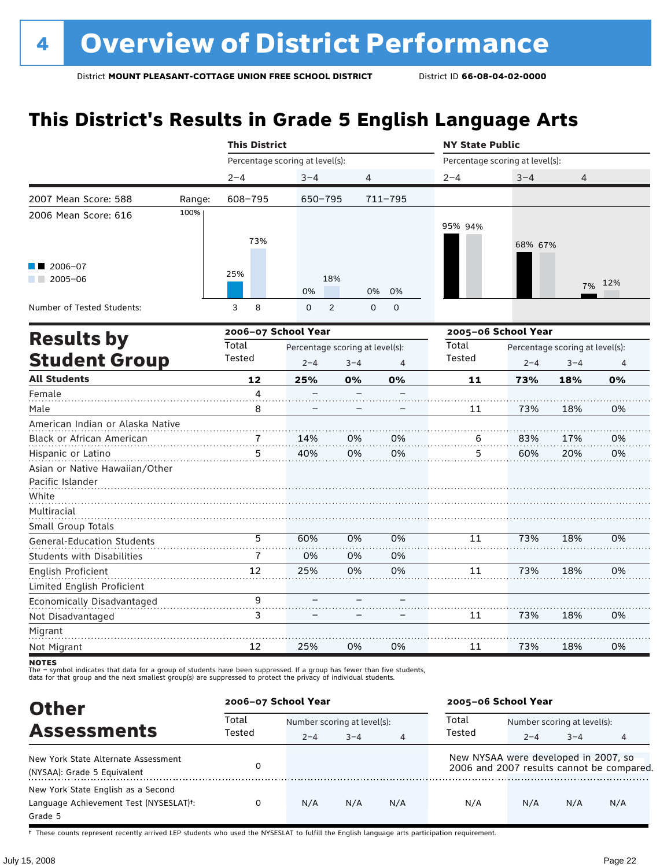# **This District's Results in Grade 5 English Language Arts**

|                                                    |        | <b>This District</b> |                                 |                                                 |             | <b>NY State Public</b>          |                     |                                            |     |  |
|----------------------------------------------------|--------|----------------------|---------------------------------|-------------------------------------------------|-------------|---------------------------------|---------------------|--------------------------------------------|-----|--|
|                                                    |        |                      | Percentage scoring at level(s): |                                                 |             | Percentage scoring at level(s): |                     |                                            |     |  |
|                                                    |        | $2 - 4$              | $3 - 4$                         | 4                                               |             | $2 - 4$                         | $3 - 4$             | 4                                          |     |  |
| 2007 Mean Score: 588                               | Range: | 608-795              | $650 - 795$                     |                                                 | $711 - 795$ |                                 |                     |                                            |     |  |
| 2006 Mean Score: 616                               | 100%   | 73%                  |                                 |                                                 |             | 95% 94%                         | 68% 67%             |                                            |     |  |
| $2006 - 07$<br>$2005 - 06$                         |        | 25%                  | 0%                              | 18%<br>0%                                       | 0%          |                                 |                     | 7%                                         | 12% |  |
| Number of Tested Students:                         |        | 8<br>3               | $\mathbf 0$                     | $\overline{2}$<br>$\mathsf 0$                   | $\mathbf 0$ |                                 |                     |                                            |     |  |
|                                                    |        |                      | 2006-07 School Year             |                                                 |             |                                 | 2005-06 School Year |                                            |     |  |
| <b>Results by</b><br><b>Student Group</b>          |        | Total<br>Tested      | $2 - 4$                         | Percentage scoring at level(s):<br>$3 - 4$<br>4 |             |                                 | $2 - 4$             | Percentage scoring at level(s):<br>$3 - 4$ | 4   |  |
| <b>All Students</b>                                |        | 12                   | 25%                             | 0%                                              | 0%          | 11                              | 73%                 | 18%                                        | 0%  |  |
| Female                                             |        | 4                    |                                 |                                                 |             |                                 |                     |                                            |     |  |
| Male                                               |        | 8                    |                                 |                                                 |             | 11                              | 73%                 | 18%                                        | 0%  |  |
| American Indian or Alaska Native                   |        |                      |                                 |                                                 |             |                                 |                     |                                            |     |  |
| Black or African American                          |        |                      | 14%                             | 0%                                              | 0%          | 6                               | 83%                 | 17%                                        | 0%  |  |
| Hispanic or Latino                                 |        | 5                    | 40%                             | 0%                                              | 0%          | 5                               | 60%                 | 20%                                        | 0%  |  |
| Asian or Native Hawaiian/Other<br>Pacific Islander |        |                      |                                 |                                                 |             |                                 |                     |                                            |     |  |
| White<br>Multiracial<br>Small Group Totals         |        |                      |                                 |                                                 |             |                                 |                     |                                            |     |  |
| <b>General-Education Students</b>                  |        | 5                    | 60%                             | 0%                                              | 0%          | 11                              | 73%                 | 18%                                        | 0%  |  |
| <b>Students with Disabilities</b>                  |        | 7                    | 0%                              | 0%                                              | 0%          |                                 |                     |                                            |     |  |
| English Proficient                                 |        | 12                   | 25%                             | 0%                                              | 0%          | 11                              | 73%                 | 18%                                        | 0%  |  |
| Limited English Proficient                         |        |                      |                                 |                                                 |             |                                 |                     |                                            |     |  |
| Economically Disadvantaged                         |        | 9                    |                                 |                                                 |             |                                 |                     |                                            |     |  |
| Not Disadvantaged                                  |        | 3                    |                                 |                                                 |             | 11                              | 73%                 | 18%                                        | 0%  |  |
| Migrant                                            |        |                      |                                 |                                                 |             |                                 |                     |                                            |     |  |
| Not Migrant                                        |        | 12                   | 25%                             | 0%                                              | 0%          | 11                              | 73%                 | 18%                                        | 0%  |  |

**NOTES** 

The – symbol indicates that data for a group of students have been suppressed. If a group has fewer than five students,<br>data for that group and the next smallest group(s) are suppressed to protect the privacy of individual

| <b>Other</b>                           | 2006-07 School Year |                             |         |                | 2005-06 School Year                  |                             |         |                                           |
|----------------------------------------|---------------------|-----------------------------|---------|----------------|--------------------------------------|-----------------------------|---------|-------------------------------------------|
| <b>Assessments</b>                     | Total<br>Tested     | Number scoring at level(s): |         |                | Total                                | Number scoring at level(s): |         |                                           |
|                                        |                     | $2 - 4$                     | $3 - 4$ | $\overline{4}$ | Tested                               | $2 - 4$                     | $3 - 4$ | 4                                         |
| New York State Alternate Assessment    |                     |                             |         |                | New NYSAA were developed in 2007, so |                             |         |                                           |
| (NYSAA): Grade 5 Equivalent            |                     |                             |         |                |                                      |                             |         | 2006 and 2007 results cannot be compared. |
| New York State English as a Second     |                     |                             |         |                |                                      |                             |         |                                           |
| Language Achievement Test (NYSESLAT)t: | 0                   | N/A                         | N/A     | N/A            | N/A                                  | N/A                         | N/A     | N/A                                       |
| Grade 5                                |                     |                             |         |                |                                      |                             |         |                                           |

† These counts represent recently arrived LEP students who used the NYSESLAT to fulfill the English language arts participation requirement.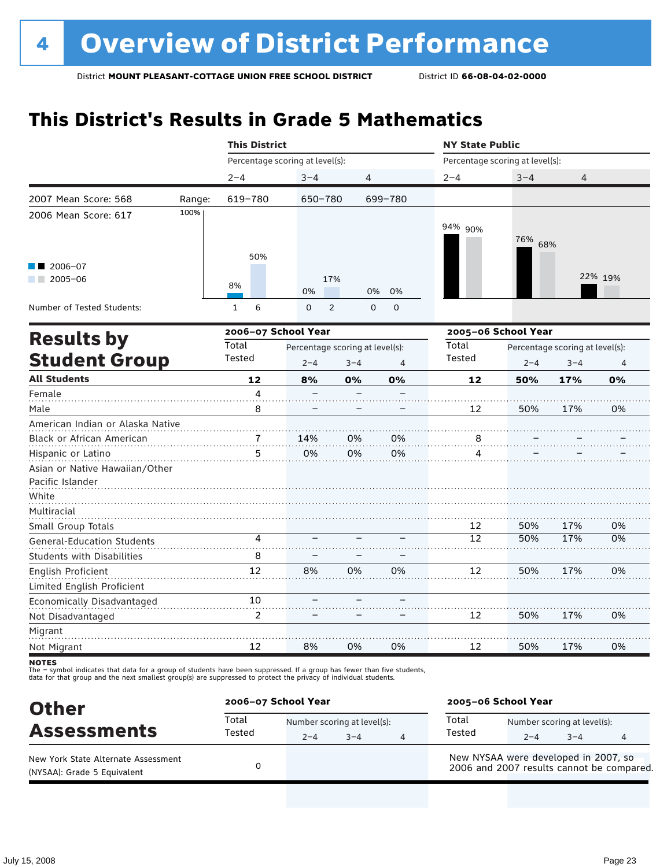# **This District's Results in Grade 5 Mathematics**

|                                                                          |        | <b>This District</b> |                                                       |                |                            | <b>NY State Public</b>          |                     |                                            |         |  |
|--------------------------------------------------------------------------|--------|----------------------|-------------------------------------------------------|----------------|----------------------------|---------------------------------|---------------------|--------------------------------------------|---------|--|
|                                                                          |        |                      | Percentage scoring at level(s):                       |                |                            | Percentage scoring at level(s): |                     |                                            |         |  |
|                                                                          |        | $2 - 4$              | $3 - 4$                                               | 4              |                            | $2 - 4$                         | $3 - 4$             | 4                                          |         |  |
| 2007 Mean Score: 568                                                     | Range: | 619-780              | 650-780                                               |                | 699-780                    |                                 |                     |                                            |         |  |
| 2006 Mean Score: 617                                                     | 100%   |                      |                                                       |                |                            | 94% 90%                         | 76% 68%             |                                            |         |  |
| 2006-07<br>$2005 - 06$<br>a sa ta                                        |        | 50%<br>8%            | 0%                                                    | 17%            | 0%<br>0%                   |                                 |                     |                                            | 22% 19% |  |
| Number of Tested Students:                                               |        | 6<br>$\mathbf{1}$    | $\mathbf 0$                                           | $\overline{2}$ | $\mathbf 0$<br>$\mathbf 0$ |                                 |                     |                                            |         |  |
|                                                                          |        |                      | 2006-07 School Year                                   |                |                            |                                 | 2005-06 School Year |                                            |         |  |
| <b>Results by</b><br><b>Student Group</b>                                |        | Total<br>Tested      | Percentage scoring at level(s):<br>$2 - 4$<br>$3 - 4$ |                | 4                          | Total<br>Tested                 | $2 - 4$             | Percentage scoring at level(s):<br>$3 - 4$ | 4       |  |
| <b>All Students</b>                                                      |        | 12                   | 8%                                                    | 0%             | 0%                         | 12                              | 50%                 | 17%                                        | 0%      |  |
| Female                                                                   |        | 4                    |                                                       |                |                            |                                 |                     |                                            |         |  |
| Male                                                                     |        | 8                    |                                                       |                |                            | 12                              | 50%                 | 17%                                        | 0%      |  |
| American Indian or Alaska Native                                         |        |                      |                                                       |                |                            |                                 |                     |                                            |         |  |
| Black or African American                                                |        | 5                    | 14%<br>0%                                             | 0%<br>0%       | 0%<br>0%                   | 8<br>4                          |                     |                                            |         |  |
| Hispanic or Latino<br>Asian or Native Hawaiian/Other<br>Pacific Islander |        |                      |                                                       |                |                            |                                 |                     |                                            |         |  |
| White<br>Multiracial                                                     |        |                      |                                                       |                |                            |                                 |                     |                                            |         |  |
| Small Group Totals                                                       |        |                      |                                                       |                |                            | 12                              | 50%                 | 17%                                        | 0%      |  |
| <b>General-Education Students</b>                                        |        | 4                    |                                                       |                |                            | 12                              | 50%                 | 17%                                        | 0%      |  |
| <b>Students with Disabilities</b>                                        |        | 8                    |                                                       |                |                            |                                 |                     |                                            |         |  |
| <b>English Proficient</b>                                                |        | 12                   | 8%                                                    | 0%             | 0%                         | 12                              | 50%                 | 17%                                        | 0%      |  |
| Limited English Proficient                                               |        |                      |                                                       |                |                            |                                 |                     |                                            |         |  |
| Economically Disadvantaged                                               |        | 10                   |                                                       |                |                            |                                 |                     |                                            |         |  |
| Not Disadvantaged                                                        |        | 2                    |                                                       |                |                            | 12                              | 50%                 | 17%                                        | 0%      |  |
| Migrant                                                                  |        |                      |                                                       |                |                            |                                 |                     |                                            |         |  |
| Not Migrant                                                              |        | 12                   | 8%                                                    | 0%             | 0%                         | 12                              | 50%                 | 17%                                        | 0%      |  |

**NOTES** 

| <b>Other</b>                                                       | 2006-07 School Year |         |                                        | 2005-06 School Year                                                               |         |                                        |   |  |
|--------------------------------------------------------------------|---------------------|---------|----------------------------------------|-----------------------------------------------------------------------------------|---------|----------------------------------------|---|--|
| <b>Assessments</b>                                                 | Total<br>Tested     | $2 - 4$ | Number scoring at level(s):<br>$3 - 4$ | Total<br>Tested                                                                   | $2 - 4$ | Number scoring at level(s):<br>$3 - 4$ | 4 |  |
| New York State Alternate Assessment<br>(NYSAA): Grade 5 Equivalent |                     |         |                                        | New NYSAA were developed in 2007, so<br>2006 and 2007 results cannot be compared. |         |                                        |   |  |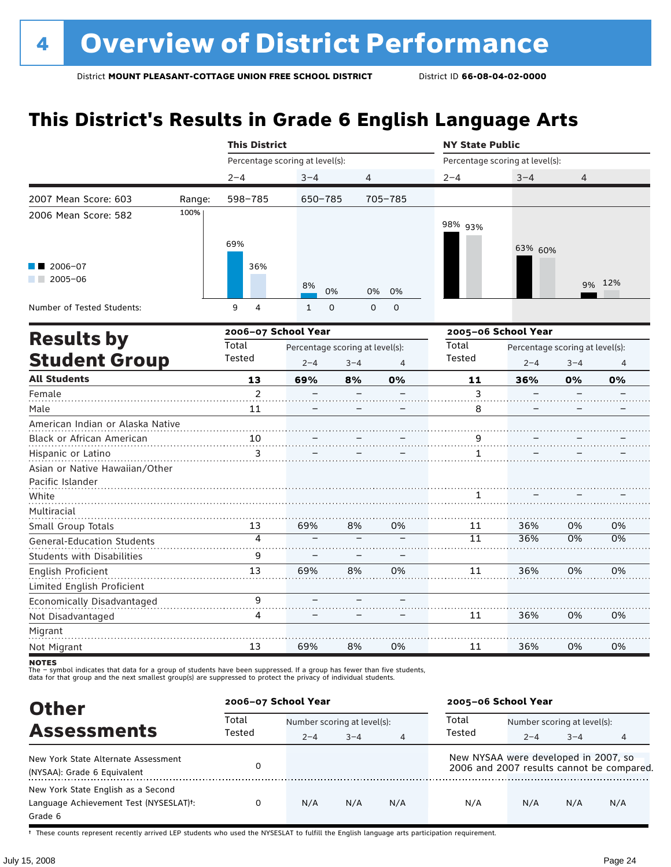# **This District's Results in Grade 6 English Language Arts**

|                                                  |        | <b>This District</b>            |              |                                 |         |                          | <b>NY State Public</b>          |                                 |         |        |  |
|--------------------------------------------------|--------|---------------------------------|--------------|---------------------------------|---------|--------------------------|---------------------------------|---------------------------------|---------|--------|--|
|                                                  |        | Percentage scoring at level(s): |              |                                 |         |                          | Percentage scoring at level(s): |                                 |         |        |  |
|                                                  |        | $2 - 4$                         | $3 - 4$      |                                 | 4       |                          | $2 - 4$                         | $3 - 4$                         | 4       |        |  |
| 2007 Mean Score: 603                             | Range: | 598-785                         |              | 650-785                         |         | 705-785                  |                                 |                                 |         |        |  |
| 2006 Mean Score: 582                             | 100%   | 69%                             |              |                                 |         |                          | 98% 93%                         | 63% 60%                         |         |        |  |
| 2006-07<br>$2005 - 06$<br><b>Contract</b>        |        | 36%                             | 8%           | 0%                              | 0%      | 0%                       |                                 |                                 |         | 9% 12% |  |
| Number of Tested Students:                       |        | 9<br>4                          | $\mathbf{1}$ | $\mathbf 0$                     | 0       | 0                        |                                 |                                 |         |        |  |
| <b>Results by</b>                                |        | 2006-07 School Year             |              |                                 |         |                          | 2005-06 School Year             |                                 |         |        |  |
|                                                  |        | Total                           |              | Percentage scoring at level(s): |         |                          | Total                           | Percentage scoring at level(s): |         |        |  |
| <b>Student Group</b>                             |        | Tested                          | $2 - 4$      |                                 | $3 - 4$ | 4                        | Tested                          | $2 - 4$                         | $3 - 4$ | 4      |  |
| <b>All Students</b>                              |        | 13                              | 69%          |                                 | 8%      | 0%                       | 11                              | 36%                             | 0%      | 0%     |  |
| Female                                           |        | $\overline{2}$                  |              |                                 |         |                          | 3                               |                                 |         |        |  |
| Male                                             |        | 11                              |              |                                 |         |                          | 8                               |                                 |         |        |  |
| American Indian or Alaska Native                 |        |                                 |              |                                 |         |                          |                                 |                                 |         |        |  |
| Black or African American                        |        | 10                              |              |                                 |         |                          | $\frac{9}{11}$                  |                                 |         |        |  |
| Hispanic or Latino                               |        | 3                               |              |                                 |         |                          | $\mathbf{1}$                    |                                 |         |        |  |
| Asian or Native Hawaiian/Other                   |        |                                 |              |                                 |         |                          |                                 |                                 |         |        |  |
| Pacific Islander                                 |        |                                 |              |                                 |         |                          |                                 |                                 |         |        |  |
| White                                            |        |                                 |              |                                 |         |                          |                                 |                                 |         |        |  |
| Multiracial                                      |        |                                 |              |                                 |         |                          |                                 |                                 |         |        |  |
| Small Group Totals                               |        | 13                              | 69%          |                                 | 8%      | 0%                       | 11                              | 36%                             | 0%      | 0%     |  |
| <b>General-Education Students</b>                |        | 4                               |              |                                 |         |                          | $\overline{11}$                 | 36%                             | 0%      | 0%     |  |
| <b>Students with Disabilities</b>                |        | 9                               |              |                                 |         |                          |                                 |                                 |         |        |  |
| English Proficient<br>Limited English Proficient |        | 13                              | 69%          |                                 | 8%      | 0%                       | 11                              | 36%                             | 0%      | 0%     |  |
| Economically Disadvantaged                       |        | 9                               |              | $\qquad \qquad -$               |         | $\overline{\phantom{0}}$ |                                 |                                 |         |        |  |

Not Disadvantaged Migrant Not Migrant 13 – 69% – 8% – 0% 11 36% 0% 0%

. . . . . . . . . . . . . . . . .

11

. **. . . . . . . . . . . . . .** . . . .

36%

. **. . . . . . . . . . . .** .

0%

. . . . . . . . . . . .

0%

. . . . . . . . .

The – symbol indicates that data for a group of students have been suppressed. If a group has fewer than five students,<br>data for that group and the next smallest group(s) are suppressed to protect the privacy of individual

4

| <b>Other</b>                                                                                         | 2006-07 School Year |                             |         |     | 2005-06 School Year                  |                             |         |                                           |
|------------------------------------------------------------------------------------------------------|---------------------|-----------------------------|---------|-----|--------------------------------------|-----------------------------|---------|-------------------------------------------|
| <b>Assessments</b>                                                                                   | Total<br>Tested     | Number scoring at level(s): |         |     | Total                                | Number scoring at level(s): |         |                                           |
|                                                                                                      |                     | $2 - 4$                     | $3 - 4$ | 4   | Tested                               | $2 - 4$                     | $3 - 4$ | 4                                         |
| New York State Alternate Assessment<br>(NYSAA): Grade 6 Equivalent                                   |                     |                             |         |     | New NYSAA were developed in 2007, so |                             |         | 2006 and 2007 results cannot be compared. |
| New York State English as a Second<br>Language Achievement Test (NYSESLAT) <sup>+</sup> :<br>Grade 6 | 0                   | N/A                         | N/A     | N/A | N/A                                  | N/A                         | N/A     | N/A                                       |

† These counts represent recently arrived LEP students who used the NYSESLAT to fulfill the English language arts participation requirement.

**NOTES**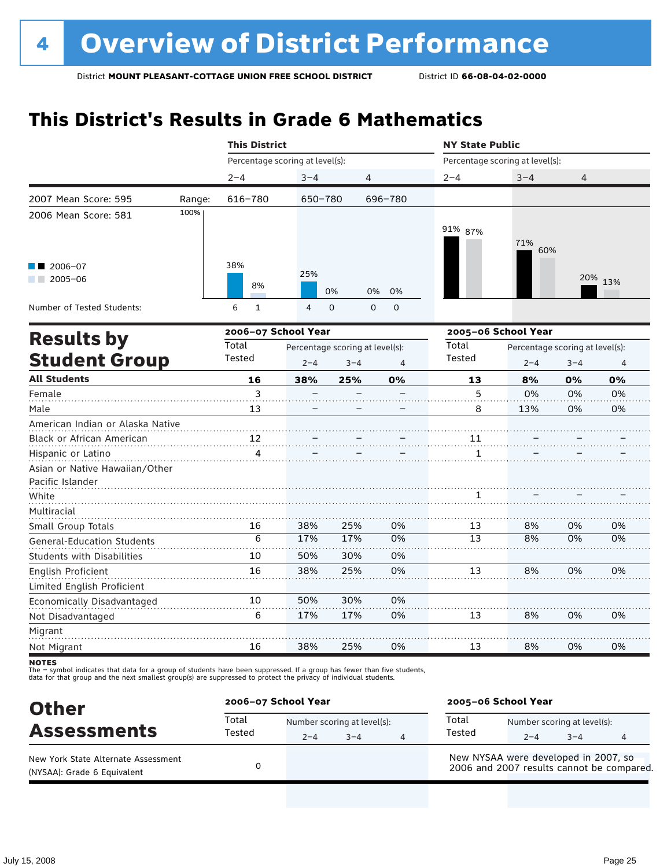# **This District's Results in Grade 6 Mathematics**

|                                   |        |                                 | <b>This District</b>            |                         |                |                                 | <b>NY State Public</b>          |                |         |  |  |
|-----------------------------------|--------|---------------------------------|---------------------------------|-------------------------|----------------|---------------------------------|---------------------------------|----------------|---------|--|--|
|                                   |        | Percentage scoring at level(s): |                                 |                         |                | Percentage scoring at level(s): |                                 |                |         |  |  |
|                                   |        | $2 - 4$                         | $3 - 4$                         | 4                       |                | $2 - 4$                         | $3 - 4$                         | $\overline{4}$ |         |  |  |
| 2007 Mean Score: 595              | Range: | 616-780                         | 650-780                         |                         | 696-780        |                                 |                                 |                |         |  |  |
| 2006 Mean Score: 581              | 100%   |                                 |                                 |                         |                |                                 |                                 |                |         |  |  |
|                                   |        |                                 |                                 |                         |                | 91% 87%                         |                                 |                |         |  |  |
|                                   |        |                                 |                                 |                         |                |                                 | 71%<br>60%                      |                |         |  |  |
| 2006-07                           |        | 38%                             |                                 |                         |                |                                 |                                 |                |         |  |  |
| $2005 - 06$                       |        |                                 | 25%                             |                         |                |                                 |                                 |                | 20% 13% |  |  |
|                                   |        | 8%                              |                                 | 0%<br>0%                | 0%             |                                 |                                 |                |         |  |  |
| Number of Tested Students:        |        | 6<br>$\mathbf{1}$               | $\overline{4}$                  | $\Omega$<br>$\mathbf 0$ | $\mathbf 0$    |                                 |                                 |                |         |  |  |
|                                   |        | 2006-07 School Year             |                                 |                         |                |                                 | 2005-06 School Year             |                |         |  |  |
| <b>Results by</b>                 |        | Total                           | Percentage scoring at level(s): |                         |                | Total                           | Percentage scoring at level(s): |                |         |  |  |
| <b>Student Group</b>              |        | Tested                          | $2 - 4$                         | $3 - 4$                 | $\overline{4}$ | Tested                          | $2 - 4$                         | $3 - 4$        | 4       |  |  |
| <b>All Students</b>               |        | 16                              | 38%                             | 25%                     | 0%             | 13                              | 8%                              | 0%             | 0%      |  |  |
| Female                            |        | 3                               |                                 |                         |                | 5                               | 0%                              | 0%             | 0%      |  |  |
| Male                              |        | 13                              |                                 |                         |                | 8                               | 13%                             | 0%             | 0%      |  |  |
| American Indian or Alaska Native  |        |                                 |                                 |                         |                |                                 |                                 |                |         |  |  |
| Black or African American         |        | 12                              |                                 |                         |                | 11                              |                                 |                |         |  |  |
| Hispanic or Latino                |        | 4                               |                                 |                         |                | 1                               |                                 |                |         |  |  |
| Asian or Native Hawaiian/Other    |        |                                 |                                 |                         |                |                                 |                                 |                |         |  |  |
| Pacific Islander                  |        |                                 |                                 |                         |                |                                 |                                 |                |         |  |  |
| White                             |        |                                 |                                 |                         |                | 1                               |                                 |                |         |  |  |
| Multiracial                       |        |                                 |                                 |                         |                |                                 |                                 |                |         |  |  |
| Small Group Totals                |        | 16                              | 38%                             | 25%                     | 0%             | 13                              | 8%                              | 0%             | 0%      |  |  |
| <b>General-Education Students</b> |        | $\overline{6}$                  | 17%                             | 17%                     | 0%             | 13                              | 8%                              | 0%             | 0%      |  |  |
| <b>Students with Disabilities</b> |        | 10                              | 50%                             | 30%                     | 0%             |                                 |                                 |                |         |  |  |
| <b>English Proficient</b>         |        | 16                              | 38%                             | 25%                     | 0%             | 13                              | 8%                              | 0%             | 0%      |  |  |
| Limited English Proficient        |        |                                 |                                 |                         |                |                                 |                                 |                |         |  |  |
| Economically Disadvantaged        |        | 10                              | 50%                             | 30%                     | 0%             |                                 |                                 |                |         |  |  |
| Not Disadvantaged                 |        | 6                               | 17%                             | 17%                     | 0%             | 13                              | 8%                              | 0%             | 0%      |  |  |
| Migrant                           |        |                                 |                                 |                         |                |                                 |                                 |                |         |  |  |

**NOTES** 

Not Migrant

The – symbol indicates that data for a group of students have been suppressed. If a group has fewer than five students,<br>data for that group and the next smallest group(s) are suppressed to protect the privacy of individual

16

| <b>Other</b>                                                       | 2006-07 School Year |                                        |      | 2005-06 School Year                                                               |         |                                        |   |  |
|--------------------------------------------------------------------|---------------------|----------------------------------------|------|-----------------------------------------------------------------------------------|---------|----------------------------------------|---|--|
| <b>Assessments</b>                                                 | Total<br>Tested     | Number scoring at level(s):<br>$2 - 4$ | $-4$ | Total<br>Tested                                                                   | $2 - 4$ | Number scoring at level(s):<br>$3 - 4$ | 4 |  |
| New York State Alternate Assessment<br>(NYSAA): Grade 6 Equivalent |                     |                                        |      | New NYSAA were developed in 2007, so<br>2006 and 2007 results cannot be compared. |         |                                        |   |  |

25%

0%

13

8%

0%

0%

38%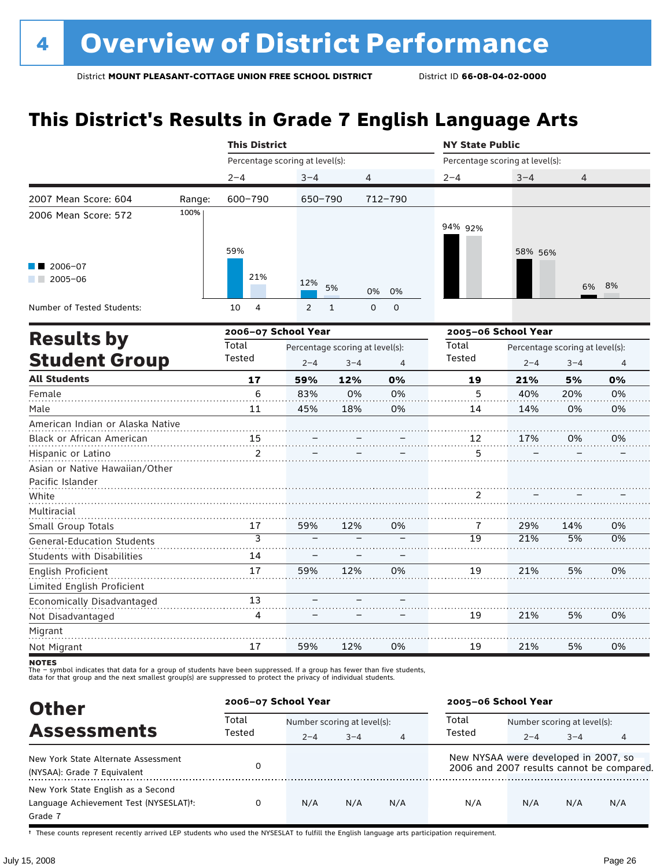# **This District's Results in Grade 7 English Language Arts**

|                                                                          |        | <b>This District</b>                     |                |                             |                | <b>NY State Public</b>          |                                 |         |    |  |
|--------------------------------------------------------------------------|--------|------------------------------------------|----------------|-----------------------------|----------------|---------------------------------|---------------------------------|---------|----|--|
|                                                                          |        | Percentage scoring at level(s):          |                |                             |                | Percentage scoring at level(s): |                                 |         |    |  |
|                                                                          |        | $2 - 4$                                  | $3 - 4$        | 4                           |                | $2 - 4$                         | $3 - 4$                         | 4       |    |  |
| 2007 Mean Score: 604                                                     | Range: | 600-790                                  | 650-790        |                             | 712-790        |                                 |                                 |         |    |  |
| 2006 Mean Score: 572                                                     | 100%   | 59%                                      |                |                             |                | 94% 92%                         | 58% 56%                         |         |    |  |
| 2006-07<br>$2005 - 06$<br><b>Contract</b>                                |        | 21%                                      | 12%            | 5%<br>0%                    | 0%             |                                 |                                 | 6%      | 8% |  |
| Number of Tested Students:                                               |        | $\overline{\mathbf{4}}$<br>10            | $\overline{2}$ | $\mathbf 0$<br>$\mathbf{1}$ | 0              |                                 |                                 |         |    |  |
|                                                                          |        | 2006-07 School Year                      |                |                             |                | 2005-06 School Year             |                                 |         |    |  |
| <b>Results by</b>                                                        |        | Total<br>Percentage scoring at level(s): |                |                             | Total          |                                 | Percentage scoring at level(s): |         |    |  |
| <b>Student Group</b>                                                     |        | Tested                                   | $2 - 4$        | $3 - 4$                     | $\overline{4}$ | Tested                          | $2 - 4$                         | $3 - 4$ | 4  |  |
| <b>All Students</b>                                                      |        | 17                                       | 59%            | 12%                         | 0%             | 19                              | 21%                             | 5%      | 0% |  |
| Female                                                                   |        | 6                                        | 83%            | 0%                          | 0%             | 5                               | 40%                             | 20%     | 0% |  |
| Male                                                                     |        | 11                                       | 45%            | 18%                         | 0%             | 14                              | 14%                             | 0%      | 0% |  |
| American Indian or Alaska Native                                         |        |                                          |                |                             |                |                                 |                                 |         |    |  |
| <b>Black or African American</b>                                         |        | 15                                       |                |                             |                | 12                              | 17%                             | 0%      | 0% |  |
| Hispanic or Latino<br>Asian or Native Hawaiian/Other<br>Pacific Islander |        | $\overline{2}$                           |                |                             |                | 5                               |                                 |         |    |  |
| White                                                                    |        |                                          |                |                             |                | 2                               |                                 |         |    |  |
| Multiracial                                                              |        |                                          |                |                             |                |                                 |                                 |         |    |  |
| Small Group Totals                                                       |        | 17                                       | 59%            | 12%                         | 0%             | 7                               | 29%                             | 14%     | 0% |  |
| <b>General-Education Students</b>                                        |        | 3                                        |                |                             |                | 19                              | 21%                             | 5%      | 0% |  |
| <b>Students with Disabilities</b>                                        |        | 14                                       |                |                             |                |                                 |                                 |         |    |  |
| English Proficient                                                       |        | 17                                       | 59%            | 12%                         | 0%             | 19                              | 21%                             | 5%      | 0% |  |
| Limited English Proficient                                               |        |                                          |                |                             |                |                                 |                                 |         |    |  |
| Economically Disadvantaged                                               |        | 13                                       |                |                             |                |                                 |                                 |         |    |  |
| Not Disadvantaged                                                        |        | 4                                        |                |                             |                | 19                              | 21%                             | 5%      | 0% |  |
| Migrant                                                                  |        |                                          |                |                             |                |                                 |                                 |         |    |  |
| Not Migrant                                                              |        | 17                                       | 59%            | 12%                         | 0%             | 19                              | 21%                             | 5%      | 0% |  |

**NOTES** 

The – symbol indicates that data for a group of students have been suppressed. If a group has fewer than five students,<br>data for that group and the next smallest group(s) are suppressed to protect the privacy of individual

| <b>Other</b>                                                                                         | 2006-07 School Year |                             |         |                | 2005-06 School Year                  |                             |         |                                           |
|------------------------------------------------------------------------------------------------------|---------------------|-----------------------------|---------|----------------|--------------------------------------|-----------------------------|---------|-------------------------------------------|
| <b>Assessments</b>                                                                                   | Total<br>Tested     | Number scoring at level(s): |         |                | Total                                | Number scoring at level(s): |         |                                           |
|                                                                                                      |                     | $2 - 4$                     | $3 - 4$ | $\overline{4}$ | Tested                               | $2 - 4$                     | $3 - 4$ | 4                                         |
| New York State Alternate Assessment<br>(NYSAA): Grade 7 Equivalent                                   |                     |                             |         |                | New NYSAA were developed in 2007, so |                             |         | 2006 and 2007 results cannot be compared. |
| New York State English as a Second<br>Language Achievement Test (NYSESLAT) <sup>+</sup> :<br>Grade 7 |                     | N/A                         | N/A     | N/A            | N/A                                  | N/A                         | N/A     | N/A                                       |

† These counts represent recently arrived LEP students who used the NYSESLAT to fulfill the English language arts participation requirement.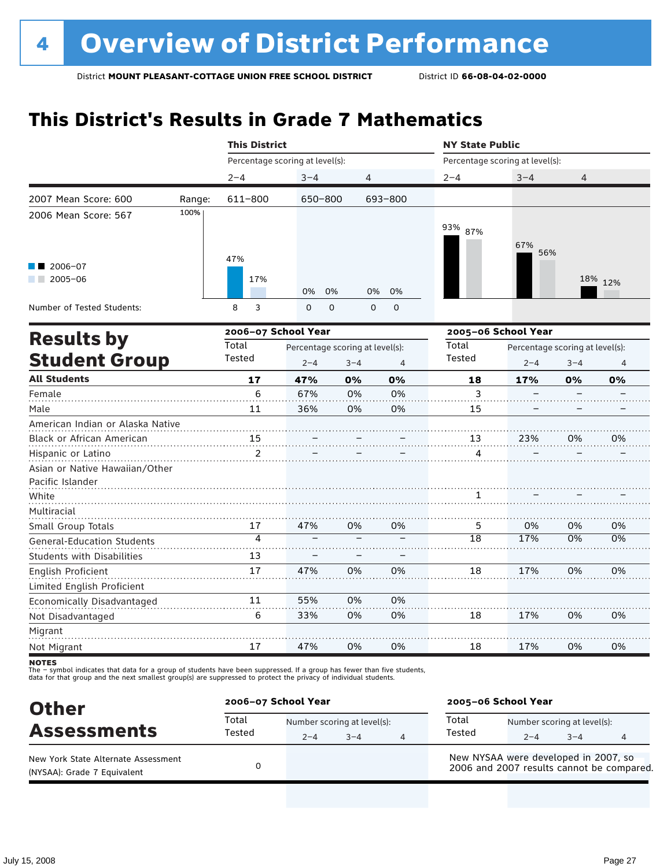# **This District's Results in Grade 7 Mathematics**

|                                                    |                                 | <b>This District</b>            |             |                |               | <b>NY State Public</b>          |         |                |  |  |
|----------------------------------------------------|---------------------------------|---------------------------------|-------------|----------------|---------------|---------------------------------|---------|----------------|--|--|
|                                                    | Percentage scoring at level(s): |                                 |             |                |               | Percentage scoring at level(s): |         |                |  |  |
|                                                    | $2 - 4$                         | $3 - 4$                         | 4           |                | $2 - 4$       | $3 - 4$                         | 4       |                |  |  |
| 2007 Mean Score: 600<br>Range:                     | 611-800                         | 650-800                         |             | 693-800        |               |                                 |         |                |  |  |
| 100%<br>2006 Mean Score: 567                       |                                 |                                 |             |                | 93% 87%       | 67%<br>56%                      |         |                |  |  |
| 2006-07<br>$2005 - 06$                             | 47%<br>17%                      | 0%<br>0%                        | 0%          | 0%             |               |                                 |         | 18% 12%        |  |  |
| Number of Tested Students:                         | 8<br>3                          | 0<br>0                          | $\mathsf 0$ | $\mathsf O$    |               |                                 |         |                |  |  |
|                                                    | 2006-07 School Year             |                                 |             |                |               | 2005-06 School Year             |         |                |  |  |
| <b>Results by</b>                                  | Total                           | Percentage scoring at level(s): |             |                | Total         | Percentage scoring at level(s): |         |                |  |  |
| <b>Student Group</b>                               | Tested                          | $2 - 4$                         | $3 - 4$     | $\overline{4}$ | <b>Tested</b> | $2 - 4$                         | $3 - 4$ | $\overline{4}$ |  |  |
| <b>All Students</b>                                | 17                              | 47%                             | 0%          | 0%             | 18            | 17%                             | 0%      | 0%             |  |  |
| Female                                             | 6                               | 67%                             | 0%          | 0%             | 3             |                                 |         |                |  |  |
| Male                                               | 11                              | 36%                             | 0%          | 0%             | 15            |                                 |         |                |  |  |
| American Indian or Alaska Native                   |                                 |                                 |             |                |               |                                 |         |                |  |  |
| Black or African American                          | 15                              |                                 |             |                | 13            | 23%                             | 0%      | 0%             |  |  |
| Hispanic or Latino                                 | $\overline{2}$                  |                                 |             |                | 4             |                                 |         |                |  |  |
| Asian or Native Hawaiian/Other<br>Pacific Islander |                                 |                                 |             |                |               |                                 |         |                |  |  |
| White                                              |                                 |                                 |             |                | 1             |                                 |         |                |  |  |
| Multiracial                                        |                                 |                                 |             |                |               |                                 |         |                |  |  |
| Small Group Totals                                 | 17                              | 47%                             | 0%          | 0%             | 5             | 0%                              | 0%      | 0%             |  |  |
| <b>General-Education Students</b>                  | $\Delta$                        |                                 |             |                | 18            | 17%                             | 0%      | 0%             |  |  |
| <b>Students with Disabilities</b>                  | 13                              |                                 |             |                |               |                                 |         |                |  |  |
| English Proficient                                 | 17                              | 47%                             | 0%          | 0%             | 18            | 17%                             | 0%      | 0%             |  |  |
| Limited English Proficient                         |                                 |                                 |             |                |               |                                 |         |                |  |  |
| Economically Disadvantaged                         | 11                              | 55%                             | 0%          | 0%             |               |                                 |         |                |  |  |
| Not Disadvantaged                                  | 6                               | 33%                             | 0%          | 0%             | 18            | 17%                             | 0%      | 0%             |  |  |
| Migrant                                            |                                 |                                 |             |                |               |                                 |         |                |  |  |
| Not Migrant                                        | 17                              | 47%                             | 0%          | 0%             | 18            | 17%                             | 0%      | 0%             |  |  |

**NOTES** 

| <b>Other</b>                                                       | 2006-07 School Year |         |                                        |   | 2005-06 School Year |                                                                                   |                                        |   |  |
|--------------------------------------------------------------------|---------------------|---------|----------------------------------------|---|---------------------|-----------------------------------------------------------------------------------|----------------------------------------|---|--|
| <b>Assessments</b>                                                 | Total<br>Tested     | $2 - 4$ | Number scoring at level(s):<br>$3 - 4$ | 4 | Total<br>Tested     | $2 - 4$                                                                           | Number scoring at level(s):<br>$3 - 4$ | 4 |  |
| New York State Alternate Assessment<br>(NYSAA): Grade 7 Equivalent |                     |         |                                        |   |                     | New NYSAA were developed in 2007, so<br>2006 and 2007 results cannot be compared. |                                        |   |  |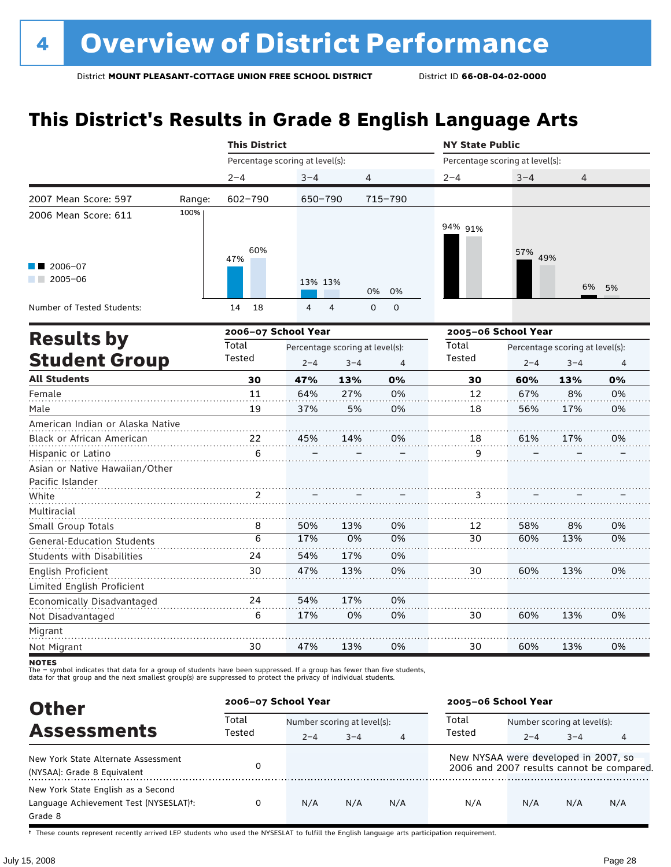# **This District's Results in Grade 8 English Language Arts**

|                                                    |        | <b>This District</b>            |                                 |         |                            | <b>NY State Public</b>          |                                 |                                                                                                                                                                   |                |  |  |
|----------------------------------------------------|--------|---------------------------------|---------------------------------|---------|----------------------------|---------------------------------|---------------------------------|-------------------------------------------------------------------------------------------------------------------------------------------------------------------|----------------|--|--|
|                                                    |        | Percentage scoring at level(s): |                                 |         |                            | Percentage scoring at level(s): |                                 | $3 - 4$<br>4<br>57% 49%<br>6%<br>$2 - 4$<br>$3 - 4$<br>60%<br>13%<br>67%<br>8%<br>56%<br>17%<br>61%<br>17%<br>58%<br>8%<br>60%<br>13%<br>60%<br>13%<br>13%<br>60% |                |  |  |
|                                                    |        | $2 - 4$                         | $3 - 4$                         | 4       |                            | $2 - 4$                         |                                 |                                                                                                                                                                   |                |  |  |
| 2007 Mean Score: 597                               | Range: | 602-790                         | 650-790                         |         | 715-790                    |                                 |                                 |                                                                                                                                                                   |                |  |  |
| 2006 Mean Score: 611                               | 100%   | 60%                             |                                 |         |                            | 94% 91%                         |                                 |                                                                                                                                                                   |                |  |  |
| $\blacksquare$ 2006-07<br>$2005 - 06$<br>a sa ta   |        | 47%                             | 13% 13%                         |         | 0%<br>0%                   |                                 |                                 |                                                                                                                                                                   | 5%             |  |  |
| Number of Tested Students:                         |        | 18<br>14                        | 4                               | 4       | $\mathbf 0$<br>$\mathbf 0$ |                                 |                                 |                                                                                                                                                                   |                |  |  |
|                                                    |        | 2006-07 School Year             |                                 |         |                            | 2005-06 School Year             |                                 |                                                                                                                                                                   |                |  |  |
| <b>Results by</b>                                  |        | Total                           | Percentage scoring at level(s): |         |                            | Total                           | Percentage scoring at level(s): |                                                                                                                                                                   |                |  |  |
| <b>Student Group</b>                               |        | Tested                          | $2 - 4$                         | $3 - 4$ | $\overline{4}$             | Tested                          |                                 |                                                                                                                                                                   | $\overline{4}$ |  |  |
| <b>All Students</b>                                |        | 30                              | 47%                             | 13%     | 0%                         | 30                              |                                 |                                                                                                                                                                   | 0%             |  |  |
| Female                                             |        | 11                              | 64%                             | 27%     | 0%                         | 12                              |                                 |                                                                                                                                                                   | 0%             |  |  |
| Male                                               |        | 19                              | 37%                             | 5%      | 0%                         | 18                              |                                 |                                                                                                                                                                   | 0%             |  |  |
| American Indian or Alaska Native                   |        |                                 |                                 |         |                            |                                 |                                 |                                                                                                                                                                   |                |  |  |
| Black or African American                          |        | 22                              | 45%                             | 14%     | 0%                         | 18                              |                                 |                                                                                                                                                                   | 0%             |  |  |
| Hispanic or Latino                                 |        | 6                               |                                 |         |                            | 9                               |                                 |                                                                                                                                                                   |                |  |  |
| Asian or Native Hawaiian/Other<br>Pacific Islander |        |                                 |                                 |         |                            |                                 |                                 |                                                                                                                                                                   |                |  |  |
| White                                              |        | 2                               |                                 |         |                            | 3                               |                                 |                                                                                                                                                                   |                |  |  |
| Multiracial                                        |        |                                 |                                 |         |                            |                                 |                                 |                                                                                                                                                                   |                |  |  |
| Small Group Totals                                 |        | 8                               | 50%                             | 13%     | 0%                         | 12                              |                                 |                                                                                                                                                                   | 0%             |  |  |
| <b>General-Education Students</b>                  |        | $\overline{6}$                  | 17%                             | 0%      | 0%                         | 30                              |                                 |                                                                                                                                                                   | 0%             |  |  |
| <b>Students with Disabilities</b>                  |        | 24                              | 54%                             | 17%     | 0%                         |                                 |                                 |                                                                                                                                                                   |                |  |  |
| English Proficient                                 |        | 30                              | 47%                             | 13%     | 0%                         | 30                              |                                 |                                                                                                                                                                   | 0%             |  |  |
| Limited English Proficient                         |        |                                 |                                 |         |                            |                                 |                                 |                                                                                                                                                                   |                |  |  |
| Economically Disadvantaged                         |        | 24                              | 54%                             | 17%     | 0%                         |                                 |                                 |                                                                                                                                                                   |                |  |  |
| Not Disadvantaged                                  |        | 6                               | 17%                             | 0%      | 0%                         | 30                              |                                 |                                                                                                                                                                   | 0%             |  |  |
| Migrant                                            |        |                                 |                                 |         |                            |                                 |                                 |                                                                                                                                                                   |                |  |  |
| Not Migrant                                        |        | 30                              | 47%                             | 13%     | 0%                         | 30                              | 60%                             | 13%                                                                                                                                                               | 0%             |  |  |

**NOTES** 

The – symbol indicates that data for a group of students have been suppressed. If a group has fewer than five students,<br>data for that group and the next smallest group(s) are suppressed to protect the privacy of individual

| <b>Other</b>                                        | 2006-07 School Year |                             |         |                | 2005-06 School Year                  |                             |         |                                           |
|-----------------------------------------------------|---------------------|-----------------------------|---------|----------------|--------------------------------------|-----------------------------|---------|-------------------------------------------|
| <b>Assessments</b>                                  | Total<br>Tested     | Number scoring at level(s): |         |                | Total                                | Number scoring at level(s): |         |                                           |
|                                                     |                     | $2 - 4$                     | $3 - 4$ | $\overline{4}$ | Tested                               | $2 - 4$                     | $3 - 4$ | 4                                         |
| New York State Alternate Assessment                 |                     |                             |         |                | New NYSAA were developed in 2007, so |                             |         |                                           |
| (NYSAA): Grade 8 Equivalent                         |                     |                             |         |                |                                      |                             |         | 2006 and 2007 results cannot be compared. |
| New York State English as a Second                  |                     |                             |         |                |                                      |                             |         |                                           |
| Language Achievement Test (NYSESLAT) <sup>+</sup> : |                     | N/A                         | N/A     | N/A            | N/A                                  | N/A                         | N/A     | N/A                                       |
| Grade 8                                             |                     |                             |         |                |                                      |                             |         |                                           |

† These counts represent recently arrived LEP students who used the NYSESLAT to fulfill the English language arts participation requirement.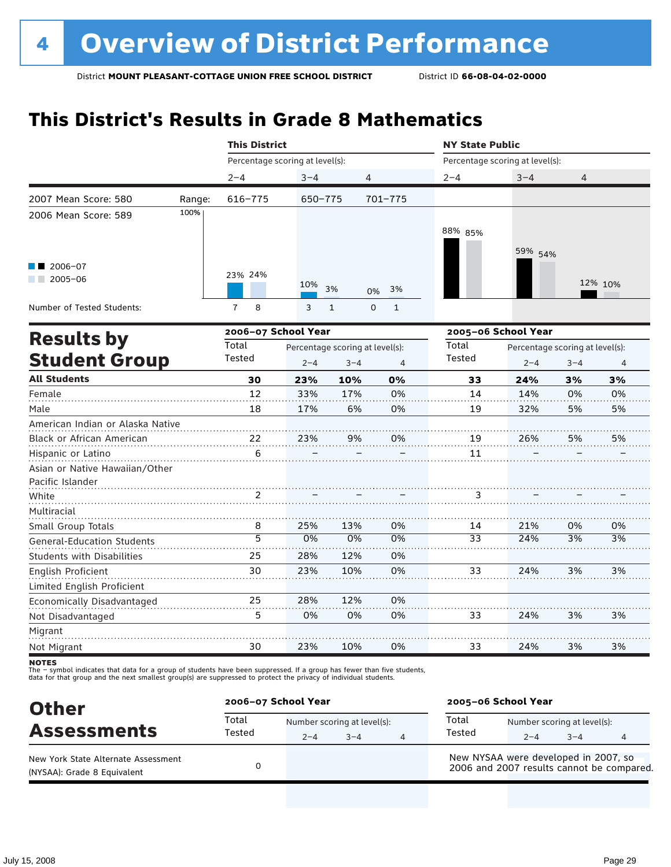# **This District's Results in Grade 8 Mathematics**

|                                   |        | <b>This District</b>            |         |                                 |                | <b>NY State Public</b> |                                 |                                                                                                                                        |                |  |  |
|-----------------------------------|--------|---------------------------------|---------|---------------------------------|----------------|------------------------|---------------------------------|----------------------------------------------------------------------------------------------------------------------------------------|----------------|--|--|
|                                   |        | Percentage scoring at level(s): |         |                                 |                |                        | Percentage scoring at level(s): | $3 - 4$<br>$\overline{4}$<br>59% 54%<br>12% 10%<br>$2 - 4$<br>$3 - 4$<br>24%<br>3%<br>14%<br>0%<br>32%<br>5%<br>26%<br>5%<br>21%<br>0% |                |  |  |
|                                   |        | $2 - 4$                         | $3 - 4$ | 4                               |                | $2 - 4$                |                                 |                                                                                                                                        |                |  |  |
| 2007 Mean Score: 580              | Range: | $616 - 775$                     | 650-775 |                                 | 701-775        |                        |                                 |                                                                                                                                        |                |  |  |
| 2006 Mean Score: 589              | 100%   |                                 |         |                                 |                |                        |                                 |                                                                                                                                        |                |  |  |
|                                   |        |                                 |         |                                 |                | 88% 85%                |                                 |                                                                                                                                        |                |  |  |
|                                   |        |                                 |         |                                 |                |                        |                                 |                                                                                                                                        |                |  |  |
| 2006-07                           |        |                                 |         |                                 |                |                        |                                 |                                                                                                                                        |                |  |  |
| $2005 - 06$<br><b>The Company</b> |        | 23% 24%                         |         |                                 |                |                        |                                 |                                                                                                                                        |                |  |  |
|                                   |        |                                 | 10%     | 3%<br>0%                        | 3%             |                        |                                 |                                                                                                                                        |                |  |  |
| Number of Tested Students:        |        | $\overline{7}$<br>8             | 3       | $\mathsf 0$<br>$\mathbf{1}$     | $1\,$          |                        |                                 |                                                                                                                                        |                |  |  |
|                                   |        | 2006-07 School Year             |         |                                 |                |                        | 2005-06 School Year             |                                                                                                                                        |                |  |  |
| <b>Results by</b>                 |        | Total                           |         | Percentage scoring at level(s): |                | Total                  | Percentage scoring at level(s): |                                                                                                                                        |                |  |  |
| <b>Student Group</b>              |        | Tested                          | $2 - 4$ | $3 - 4$                         | $\overline{4}$ | Tested                 |                                 |                                                                                                                                        | $\overline{4}$ |  |  |
| <b>All Students</b>               |        | 30                              | 23%     | 10%                             | 0%             | 33                     |                                 |                                                                                                                                        | 3%             |  |  |
| Female                            |        | 12                              | 33%     | 17%                             | 0%             | 14                     |                                 |                                                                                                                                        | 0%             |  |  |
| Male                              |        | 18                              | 17%     | 6%                              | 0%             | 19                     |                                 |                                                                                                                                        | 5%             |  |  |
| American Indian or Alaska Native  |        |                                 |         |                                 |                |                        |                                 |                                                                                                                                        |                |  |  |
| Black or African American         |        | 22                              | 23%     | 9%                              | 0%             | 19                     |                                 |                                                                                                                                        | 5%             |  |  |
| Hispanic or Latino                |        | 6                               |         |                                 |                | 11                     |                                 |                                                                                                                                        |                |  |  |
| Asian or Native Hawaiian/Other    |        |                                 |         |                                 |                |                        |                                 |                                                                                                                                        |                |  |  |
| Pacific Islander                  |        |                                 |         |                                 |                |                        |                                 |                                                                                                                                        |                |  |  |
| White                             |        | 2                               |         |                                 |                | 3                      |                                 |                                                                                                                                        |                |  |  |
| Multiracial                       |        |                                 |         |                                 |                |                        |                                 |                                                                                                                                        |                |  |  |
| Small Group Totals                |        | 8                               | 25%     | 13%                             | 0%             | 14                     |                                 |                                                                                                                                        | 0%             |  |  |
| <b>General-Education Students</b> |        | 5                               | 0%      | 0%                              | 0%             | 33                     | 24%                             | 3%                                                                                                                                     | 3%             |  |  |
| <b>Students with Disabilities</b> |        | 25                              | 28%     | 12%                             | 0%             |                        |                                 |                                                                                                                                        |                |  |  |
| <b>English Proficient</b>         |        | 30                              | 23%     | 10%                             | 0%             | 33                     | 24%                             | 3%                                                                                                                                     | 3%             |  |  |
| Limited English Proficient        |        |                                 |         |                                 |                |                        |                                 |                                                                                                                                        |                |  |  |
| Economically Disadvantaged        |        | 25                              | 28%     | 12%                             | 0%             |                        |                                 |                                                                                                                                        |                |  |  |
| Not Disadvantaged                 |        | 5                               | 0%      | 0%                              | 0%             | 33                     | 24%                             | 3%                                                                                                                                     | 3%             |  |  |
| Migrant                           |        |                                 |         |                                 |                |                        |                                 |                                                                                                                                        |                |  |  |
| Not Migrant                       |        | 30                              | 23%     | 10%                             | 0%             | 33                     | 24%                             | 3%                                                                                                                                     | 3%             |  |  |

**NOTES** 

| <b>Other</b>                                                       | 2006-07 School Year |                                        |         |   | 2005-06 School Year                                                               |                                        |         |   |  |
|--------------------------------------------------------------------|---------------------|----------------------------------------|---------|---|-----------------------------------------------------------------------------------|----------------------------------------|---------|---|--|
| <b>Assessments</b>                                                 | Total<br>Tested     | Number scoring at level(s):<br>$2 - 4$ | $3 - 4$ | 4 | Total<br>Tested                                                                   | Number scoring at level(s):<br>$2 - 4$ | $3 - 4$ | 4 |  |
| New York State Alternate Assessment<br>(NYSAA): Grade 8 Equivalent |                     |                                        |         |   | New NYSAA were developed in 2007, so<br>2006 and 2007 results cannot be compared. |                                        |         |   |  |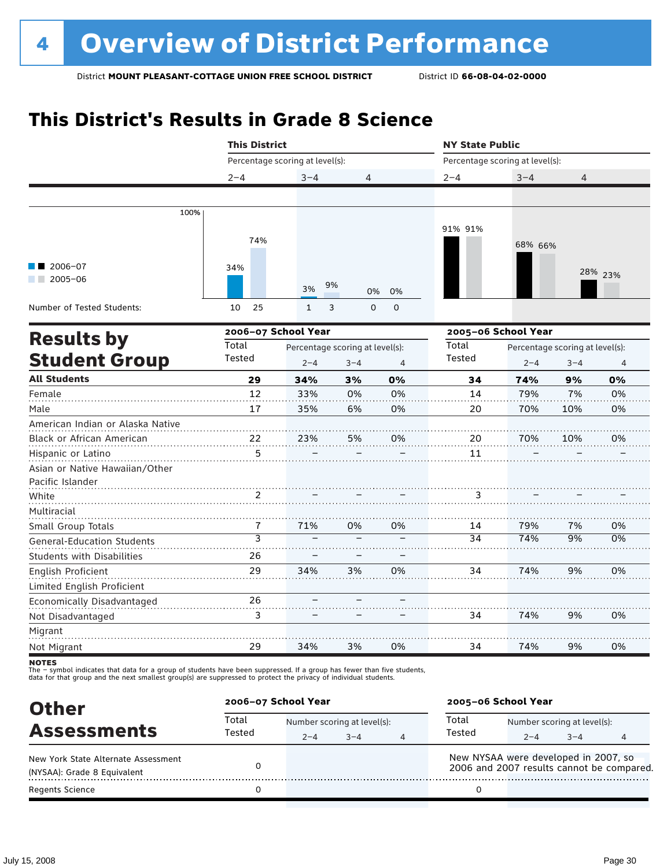# **This District's Results in Grade 8 Science**

|                                   | <b>This District</b>            |                                 |                  |                | <b>NY State Public</b>                   |                                 |         |         |  |
|-----------------------------------|---------------------------------|---------------------------------|------------------|----------------|------------------------------------------|---------------------------------|---------|---------|--|
|                                   | Percentage scoring at level(s): |                                 |                  |                |                                          | Percentage scoring at level(s): |         |         |  |
|                                   | $2 - 4$                         | $3 - 4$                         | 4                |                | $2 - 4$                                  | $3 - 4$                         | 4       |         |  |
|                                   |                                 |                                 |                  |                |                                          |                                 |         |         |  |
| 100%                              |                                 |                                 |                  |                |                                          |                                 |         |         |  |
|                                   |                                 |                                 |                  |                | 91% 91%                                  |                                 |         |         |  |
|                                   | 74%                             |                                 |                  |                |                                          | 68% 66%                         |         |         |  |
|                                   |                                 |                                 |                  |                |                                          |                                 |         |         |  |
| 2006-07                           | 34%                             |                                 |                  |                |                                          |                                 |         | 28% 23% |  |
| $2005 - 06$                       |                                 | 3%                              | 9%<br>0%         | 0%             |                                          |                                 |         |         |  |
|                                   |                                 |                                 |                  |                |                                          |                                 |         |         |  |
| Number of Tested Students:        | 25<br>10                        | $\mathbf{1}$                    | 3<br>$\mathbf 0$ | $\mathbf 0$    |                                          |                                 |         |         |  |
|                                   | 2006-07 School Year             |                                 |                  |                |                                          | 2005-06 School Year             |         |         |  |
| <b>Results by</b>                 | Total                           | Percentage scoring at level(s): |                  |                | Total<br>Percentage scoring at level(s): |                                 |         |         |  |
| <b>Student Group</b>              | Tested                          | $2 - 4$                         | $3 - 4$          | $\overline{4}$ | Tested                                   | $2 - 4$                         | $3 - 4$ | 4       |  |
| <b>All Students</b>               | 29                              | 34%                             | 3%               | 0%             | 34                                       | 74%                             | 9%      | 0%      |  |
| Female                            | 12                              | 33%                             | 0%               | 0%             | 14                                       | 79%                             | 7%      | 0%      |  |
| Male                              | 17                              | 35%                             | 6%               | 0%             | 20                                       | 70%                             | 10%     | 0%      |  |
| American Indian or Alaska Native  |                                 |                                 |                  |                |                                          |                                 |         |         |  |
| Black or African American         | 22                              | 23%                             | 5%               | 0%             | 20                                       | 70%                             | 10%     | 0%      |  |
| Hispanic or Latino                | 5                               |                                 |                  |                | 11                                       |                                 |         |         |  |
| Asian or Native Hawaiian/Other    |                                 |                                 |                  |                |                                          |                                 |         |         |  |
| Pacific Islander                  |                                 |                                 |                  |                |                                          |                                 |         |         |  |
| White                             | 2                               |                                 |                  |                | 3                                        |                                 |         |         |  |
| Multiracial                       |                                 |                                 |                  |                |                                          |                                 |         |         |  |
| Small Group Totals                | 7                               | 71%                             | 0%               | 0%             | 14                                       | 79%                             | 7%      | 0%      |  |
| <b>General-Education Students</b> | $\overline{3}$                  |                                 |                  |                | 34                                       | 74%                             | 9%      | 0%      |  |
| <b>Students with Disabilities</b> | 26                              |                                 |                  |                |                                          |                                 |         |         |  |
| English Proficient                | 29                              | 34%                             | 3%               | 0%             | 34                                       | 74%                             | 9%      | 0%      |  |
| Limited English Proficient        |                                 |                                 |                  |                |                                          |                                 |         |         |  |
| Economically Disadvantaged        | 26                              |                                 |                  |                |                                          |                                 |         |         |  |
| Not Disadvantaged                 | 3                               |                                 |                  |                | 34                                       | 74%                             | 9%      | 0%      |  |
| Migrant                           |                                 |                                 |                  |                |                                          |                                 |         |         |  |
| Not Migrant                       | 29                              | 34%                             | 3%               | 0%             | 34                                       | 74%                             | 9%      | 0%      |  |

**NOTES** 

| <b>Other</b>                                                       | 2006-07 School Year |         |                                        |   | 2005-06 School Year                                                               |                                        |         |  |  |
|--------------------------------------------------------------------|---------------------|---------|----------------------------------------|---|-----------------------------------------------------------------------------------|----------------------------------------|---------|--|--|
| <b>Assessments</b>                                                 | Total<br>Tested     | $2 - 4$ | Number scoring at level(s):<br>$3 - 4$ | 4 | Total<br>Tested                                                                   | Number scoring at level(s):<br>$2 - 4$ | $3 - 4$ |  |  |
| New York State Alternate Assessment<br>(NYSAA): Grade 8 Equivalent |                     |         |                                        |   | New NYSAA were developed in 2007, so<br>2006 and 2007 results cannot be compared. |                                        |         |  |  |
| <b>Regents Science</b>                                             |                     |         |                                        |   |                                                                                   |                                        |         |  |  |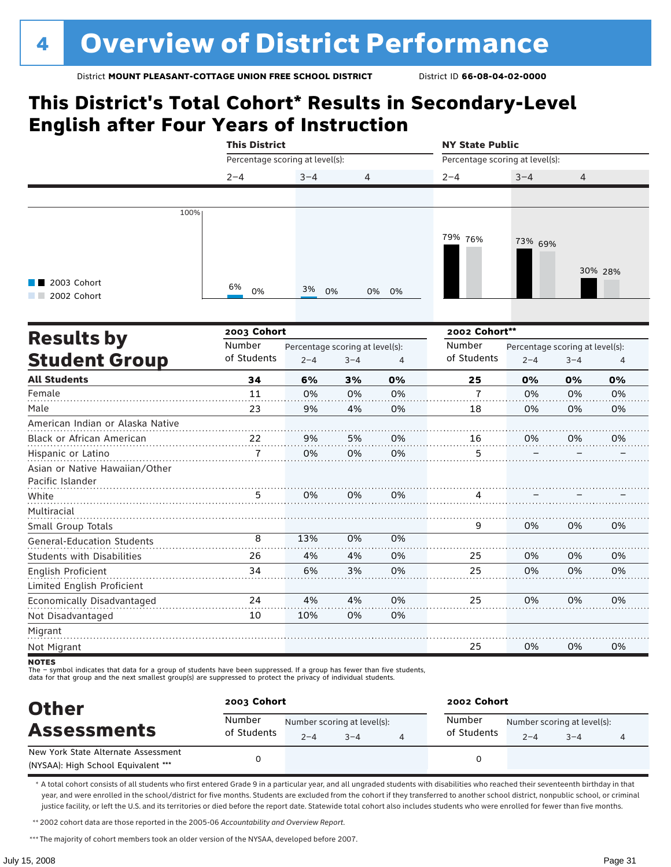### **This District's Total Cohort\* Results in Secondary-Level English after Four Years of Instruction**

|                                   | <b>This District</b>            |                                 |         |                | <b>NY State Public</b>          |                                 |         |         |  |
|-----------------------------------|---------------------------------|---------------------------------|---------|----------------|---------------------------------|---------------------------------|---------|---------|--|
|                                   | Percentage scoring at level(s): |                                 |         |                | Percentage scoring at level(s): |                                 |         |         |  |
|                                   | $2 - 4$                         | $3 - 4$                         | 4       |                | $2 - 4$                         | $3 - 4$                         | 4       |         |  |
|                                   |                                 |                                 |         |                |                                 |                                 |         |         |  |
| 100%                              |                                 |                                 |         |                |                                 |                                 |         |         |  |
|                                   |                                 |                                 |         |                |                                 |                                 |         |         |  |
|                                   |                                 |                                 |         |                | 79% 76%                         | 73% 69%                         |         |         |  |
|                                   |                                 |                                 |         |                |                                 |                                 |         |         |  |
|                                   |                                 |                                 |         |                |                                 |                                 |         | 30% 28% |  |
| 2003 Cohort<br>2002 Cohort        | 6%<br>0%                        | 3%<br>0%                        | 0%      | 0%             |                                 |                                 |         |         |  |
|                                   |                                 |                                 |         |                |                                 |                                 |         |         |  |
|                                   | 2003 Cohort                     |                                 |         |                | 2002 Cohort**                   |                                 |         |         |  |
| <b>Results by</b>                 | Number                          | Percentage scoring at level(s): |         |                | Number                          | Percentage scoring at level(s): |         |         |  |
| <b>Student Group</b>              | of Students                     | $2 - 4$                         | $3 - 4$ | $\overline{4}$ | of Students                     | $2 - 4$                         | $3 - 4$ | 4       |  |
| <b>All Students</b>               | 34                              | 6%                              | 3%      | 0%             | 25                              | 0%                              | 0%      | 0%      |  |
| Female                            | 11                              | 0%                              | 0%      | 0%             | 7                               | 0%                              | 0%      | 0%      |  |
| Male                              | 23                              | 9%                              | 4%      | 0%             | 18                              | 0%                              | 0%      | 0%      |  |
| American Indian or Alaska Native  |                                 |                                 |         |                |                                 |                                 |         |         |  |
| Black or African American         | 22                              | 9%                              | 5%      | 0%             | 16                              | 0%                              | 0%      | 0%      |  |
| Hispanic or Latino                | 7                               | 0%                              | 0%      | 0%             | 5                               |                                 |         |         |  |
| Asian or Native Hawaiian/Other    |                                 |                                 |         |                |                                 |                                 |         |         |  |
| Pacific Islander                  |                                 |                                 |         |                |                                 |                                 |         |         |  |
| White                             | 5                               | 0%                              | 0%      | 0%             | 4                               |                                 |         |         |  |
| Multiracial                       |                                 |                                 |         |                |                                 |                                 |         |         |  |
| Small Group Totals                |                                 |                                 |         |                | 9                               | 0%                              | 0%      | 0%      |  |
| <b>General-Education Students</b> | 8                               | 13%                             | 0%      | 0%             |                                 |                                 |         |         |  |
| <b>Students with Disabilities</b> | 26                              | 4%                              | 4%      | 0%             | 25                              | 0%                              | 0%      | 0%      |  |
| English Proficient                | 34                              | 6%                              | 3%      | 0%             | 25                              | 0%                              | 0%      | 0%      |  |
| Limited English Proficient        |                                 |                                 |         |                |                                 |                                 |         |         |  |
| Economically Disadvantaged        | 24                              | 4%                              | 4%      | 0%             | 25                              | 0%                              | 0%      | 0%      |  |
| Not Disadvantaged                 | 10                              | 10%                             | 0%      | 0%             |                                 |                                 |         |         |  |
| Migrant                           |                                 |                                 |         |                |                                 |                                 |         |         |  |
| Not Migrant                       |                                 |                                 |         |                | 25                              | 0%                              | 0%      | 0%      |  |
| <b>NOTEC</b>                      |                                 |                                 |         |                |                                 |                                 |         |         |  |

NOTES<br>The – symbol indicates that data for a group of students have been suppressed. If a group has fewer than five students,<br>data for that group and the next smallest group(s) are suppressed to protect the privacy of indi

| <b>Other</b>                                                               | 2003 Cohort |         |                                        | 2002 Cohort           |                                        |      |  |  |
|----------------------------------------------------------------------------|-------------|---------|----------------------------------------|-----------------------|----------------------------------------|------|--|--|
| Number<br><b>Assessments</b>                                               | of Students | $2 - 4$ | Number scoring at level(s):<br>$3 - 4$ | Number<br>of Students | Number scoring at level(s):<br>$2 - 4$ | $-4$ |  |  |
| New York State Alternate Assessment<br>(NYSAA): High School Equivalent *** |             |         |                                        |                       |                                        |      |  |  |

\* A total cohort consists of all students who first entered Grade 9 in a particular year, and all ungraded students with disabilities who reached their seventeenth birthday in that year, and were enrolled in the school/district for five months. Students are excluded from the cohort if they transferred to another school district, nonpublic school, or criminal justice facility, or left the U.S. and its territories or died before the report date. Statewide total cohort also includes students who were enrolled for fewer than five months.

\*\*2002 cohort data are those reported in the 2005-06 *Accountability and Overview Report*.

\*\*\* The majority of cohort members took an older version of the NYSAA, developed before 2007.